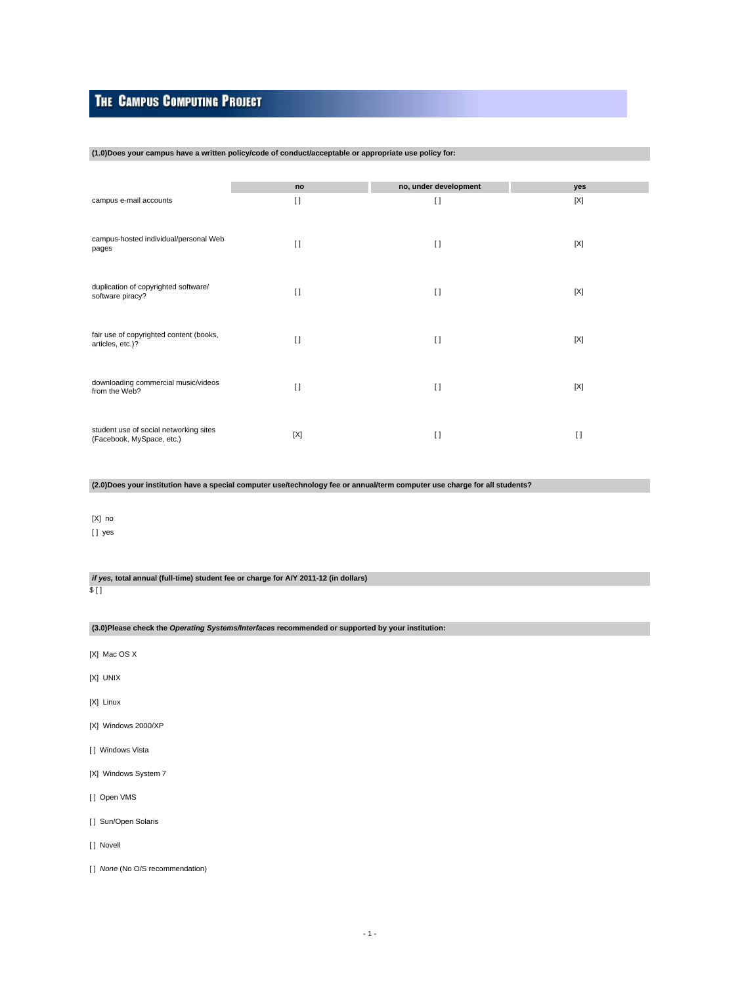# **THE CAMPUS COMPUTING PROJECT**

#### **(1.0)Does your campus have a written policy/code of conduct/acceptable or appropriate use policy for:**

|                                                                     | no     | no, under development | yes    |
|---------------------------------------------------------------------|--------|-----------------------|--------|
| campus e-mail accounts                                              | $\Box$ | $\lceil$              | [X]    |
|                                                                     |        |                       |        |
| campus-hosted individual/personal Web                               | $\Box$ | $[ \ ]$               | [X]    |
| pages                                                               |        |                       |        |
|                                                                     |        |                       |        |
| duplication of copyrighted software/<br>software piracy?            | $\Box$ | $\lceil$              | [X]    |
|                                                                     |        |                       |        |
| fair use of copyrighted content (books,                             |        |                       |        |
| articles, etc.)?                                                    | $\Box$ | $[ \ ]$               | [X]    |
|                                                                     |        |                       |        |
| downloading commercial music/videos<br>from the Web?                | $\Box$ | $\lceil$              | [X]    |
|                                                                     |        |                       |        |
|                                                                     |        |                       |        |
| student use of social networking sites<br>(Facebook, MySpace, etc.) | [X]    | $[ \ ]$               | $\Box$ |

**(2.0)Does your institution have a special computer use/technology fee or annual/term computer use charge for all students?**

### [X] no [ ] yes

#### **if yes, total annual (full-time) student fee or charge for A/Y 2011-12 (in dollars)**

\$ [ ]

# **(3.0)Please check the Operating Systems/Interfaces recommended or supported by your institution:**

- [X] Mac OS X
- [X] UNIX
- [X] Linux
- [X] Windows 2000/XP
- [ ] Windows Vista
- [X] Windows System 7
- [ ] Open VMS
- [ ] Sun/Open Solaris
- [ ] Novell
- [ ] None (No O/S recommendation)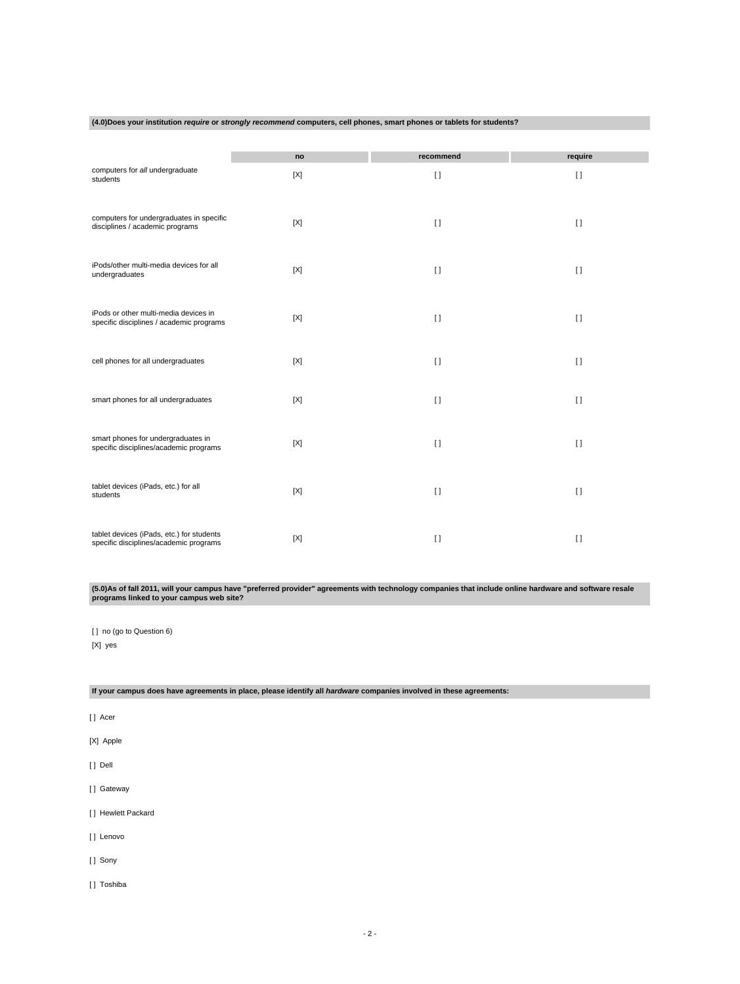#### **(4.0)Does your institution require or strongly recommend computers, cell phones, smart phones or tablets for students?**

|                                                                                     | no          | recommend    | require  |
|-------------------------------------------------------------------------------------|-------------|--------------|----------|
| computers for all undergraduate<br>students                                         | $[{\sf X}]$ | $\lceil$     | $[ \ ]$  |
| computers for undergraduates in specific<br>disciplines / academic programs         | [X]         | $[ \ ]$      | $\lceil$ |
| iPods/other multi-media devices for all<br>undergraduates                           | [X]         | $[ \ ]$      | $[ \ ]$  |
| iPods or other multi-media devices in<br>specific disciplines / academic programs   | [X]         | $\lceil$     | $\Box$   |
| cell phones for all undergraduates                                                  | [X]         | $\lceil$     | $\lceil$ |
| smart phones for all undergraduates                                                 | [X]         | $[ \ ]$      | $\Box$   |
| smart phones for undergraduates in<br>specific disciplines/academic programs        | [X]         | $\mathbf{I}$ | $[ \ ]$  |
| tablet devices (iPads, etc.) for all<br>students                                    | [X]         | $\mathbf{I}$ | $\lceil$ |
| tablet devices (iPads, etc.) for students<br>specific disciplines/academic programs | [X]         | $\Box$       | $\Box$   |

**(5.0)As of fall 2011, will your campus have "preferred provider" agreements with technology companies that include online hardware and software resale programs linked to your campus web site?**

[ ] no (go to Question 6) [X] yes

# **If your campus does have agreements in place, please identify all hardware companies involved in these agreements:**

[ ] Acer

[X] Apple

[ ] Dell

[] Gateway

[ ] Hewlett Packard

[ ] Lenovo

[] Sony

[ ] Toshiba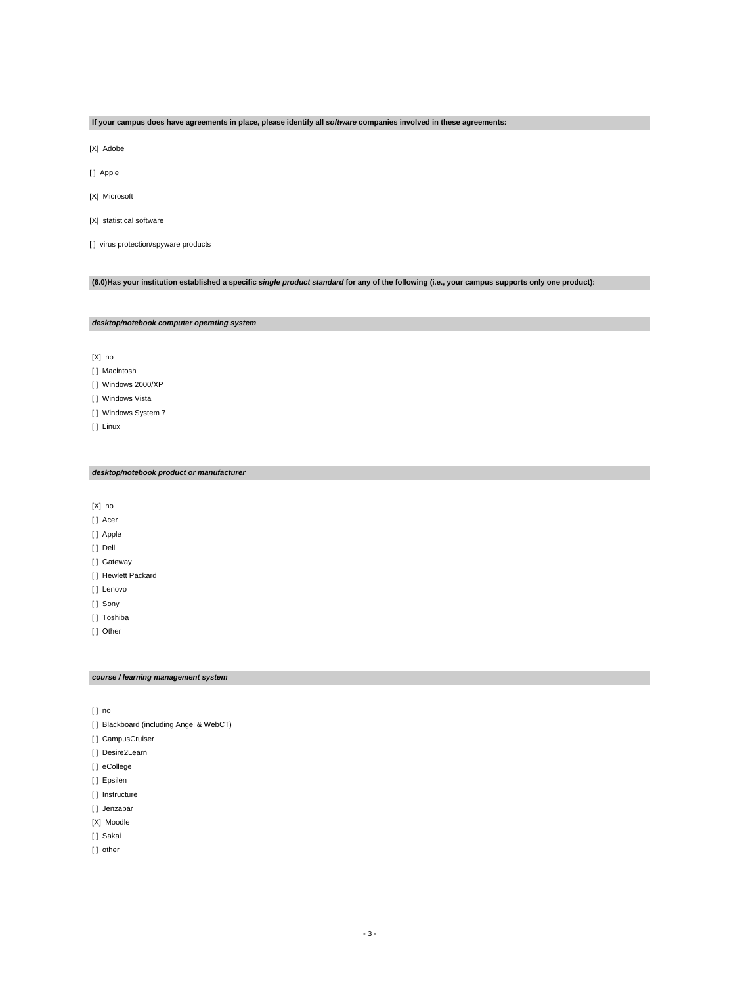# **If your campus does have agreements in place, please identify all software companies involved in these agreements:**

[X] Adobe

[ ] Apple

[X] Microsoft

[X] statistical software

[ ] virus protection/spyware products

# **(6.0)Has your institution established a specific single product standard for any of the following (i.e., your campus supports only one product):**

#### **desktop/notebook computer operating system**

[X] no

[ ] Macintosh

[ ] Windows 2000/XP

[ ] Windows Vista

[ ] Windows System 7

[ ] Linux

#### **desktop/notebook product or manufacturer**

[X] no

[] Acer

[] Apple

[ ] Dell

[] Gateway

[ ] Hewlett Packard

[] Lenovo

[ ] Sony

[ ] Toshiba

[ ] Other

#### **course / learning management system**

[ ] no

- [ ] Blackboard (including Angel & WebCT)
- [ ] CampusCruiser
- [] Desire2Learn

[] eCollege

[ ] Epsilen

[ ] Instructure

[ ] Jenzabar

[X] Moodle

[] Sakai

[] other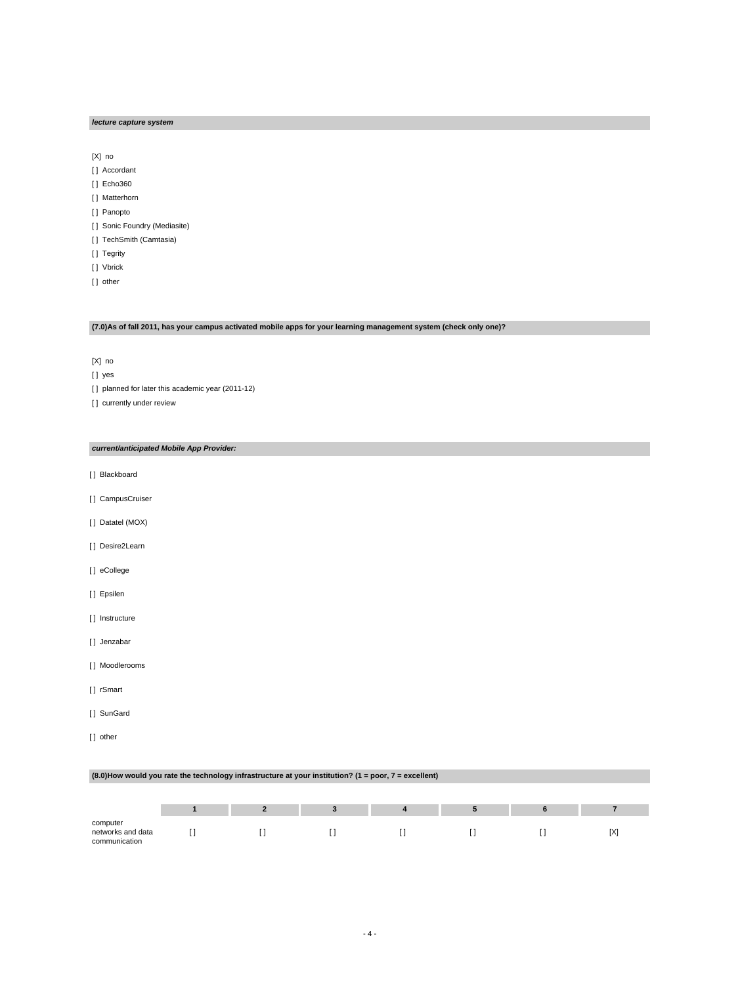#### **lecture capture system**

[X] no

- [ ] Accordant
- [ ] Echo360
- [ ] Matterhorn
- [ ] Panopto
- [ ] Sonic Foundry (Mediasite)
- [ ] TechSmith (Camtasia)
- [ ] Tegrity
- [ ] Vbrick
- [] other

# **(7.0)As of fall 2011, has your campus activated mobile apps for your learning management system (check only one)?**

[X] no

[ ] yes

[ ] planned for later this academic year (2011-12)

[] currently under review

**current/anticipated Mobile App Provider:**

- [ ] Blackboard
- [] CampusCruiser
- [ ] Datatel (MOX)
- [] Desire2Learn
- [ ] eCollege
- [ ] Epsilen
- [ ] Instructure
- [ ] Jenzabar
- [ ] Moodlerooms
- [ ] rSmart
- [ ] SunGard

communication

[] other

|                               | (8.0) How would you rate the technology infrastructure at your institution? (1 = poor, 7 = excellent) |  |  |  |  |  |  |  |  |  |
|-------------------------------|-------------------------------------------------------------------------------------------------------|--|--|--|--|--|--|--|--|--|
|                               |                                                                                                       |  |  |  |  |  |  |  |  |  |
|                               |                                                                                                       |  |  |  |  |  |  |  |  |  |
|                               |                                                                                                       |  |  |  |  |  |  |  |  |  |
| computer<br>networks and data |                                                                                                       |  |  |  |  |  |  |  |  |  |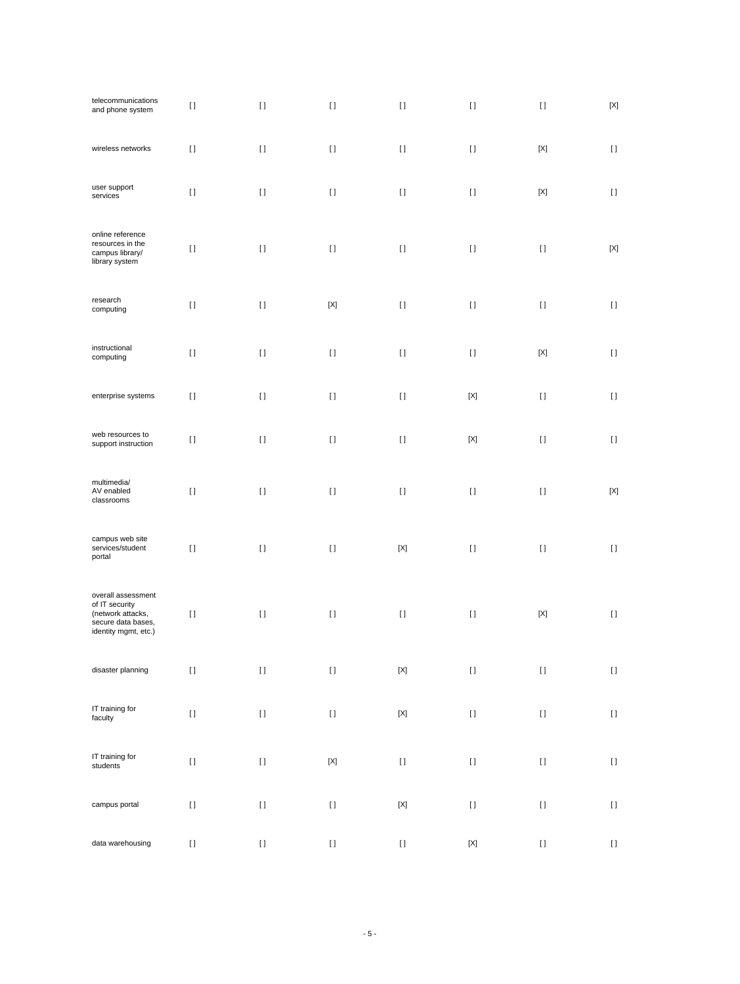| telecommunications<br>and phone system                                                                  | $[ \; ]$                                                                                                                                                                                              | $[ \; ]$                                                                                                                                                                                                                                           | $[ \; ]$    | $[ \; ]$                                                                                                                                                                                                                                                                                                                                                                                                          | $\lceil$    | $[ \; ]$                                                                                                                                                                                                                                           | $\left[ \text{X} \right]$ |
|---------------------------------------------------------------------------------------------------------|-------------------------------------------------------------------------------------------------------------------------------------------------------------------------------------------------------|----------------------------------------------------------------------------------------------------------------------------------------------------------------------------------------------------------------------------------------------------|-------------|-------------------------------------------------------------------------------------------------------------------------------------------------------------------------------------------------------------------------------------------------------------------------------------------------------------------------------------------------------------------------------------------------------------------|-------------|----------------------------------------------------------------------------------------------------------------------------------------------------------------------------------------------------------------------------------------------------|---------------------------|
| wireless networks                                                                                       | $[ \ ]$                                                                                                                                                                                               | $[ \ ]$                                                                                                                                                                                                                                            | $[ \ ]$     | $[ \ ]$                                                                                                                                                                                                                                                                                                                                                                                                           | $\lceil$    | $[{\sf X}]$                                                                                                                                                                                                                                        | $[ \ ]$                   |
| user support<br>services                                                                                | $[ \ ]$                                                                                                                                                                                               | $[ \ ]$                                                                                                                                                                                                                                            | $[ \ ]$     | $[ \ ]$                                                                                                                                                                                                                                                                                                                                                                                                           | $\lceil$    | $[{\sf X}]$                                                                                                                                                                                                                                        | $[ \ ]$                   |
| online reference<br>resources in the<br>campus library/<br>library system                               | $\lceil$                                                                                                                                                                                              | $\lceil$                                                                                                                                                                                                                                           | $[ \ ]$     | $[ \ ]$                                                                                                                                                                                                                                                                                                                                                                                                           | $\lceil$    | $[ \ ]$                                                                                                                                                                                                                                            | $[{\sf X}]$               |
| research<br>computing                                                                                   | $[ \ ]$                                                                                                                                                                                               | $[ \ ]$                                                                                                                                                                                                                                            | $[{\sf X}]$ | $[ \ ]$                                                                                                                                                                                                                                                                                                                                                                                                           | $\lceil$    | $[ \ ]$                                                                                                                                                                                                                                            | $[ \ ]$                   |
| instructional<br>computing                                                                              | $[ \; ]$                                                                                                                                                                                              | $\lceil$                                                                                                                                                                                                                                           | $[ \ ]$     | $[ \ ]$                                                                                                                                                                                                                                                                                                                                                                                                           | $\lceil$    | $[{\sf X}]$                                                                                                                                                                                                                                        | $[ \ ]$                   |
| enterprise systems                                                                                      | $[ \ ]$                                                                                                                                                                                               | $\lceil$                                                                                                                                                                                                                                           | $[ \ ]$     | $[ \ ]$                                                                                                                                                                                                                                                                                                                                                                                                           | $[{\sf X}]$ | $[ \ ]$                                                                                                                                                                                                                                            | $[ \ ]$                   |
| web resources to<br>support instruction                                                                 | $\lceil$                                                                                                                                                                                              | $[ \ ]$                                                                                                                                                                                                                                            | $[ \ ]$     | $[ \ ]$                                                                                                                                                                                                                                                                                                                                                                                                           | [X]         | $[ \ ]$                                                                                                                                                                                                                                            | $[ \ ]$                   |
| multimedia/<br>AV enabled<br>classrooms                                                                 | $[ \ ]$                                                                                                                                                                                               | $\lceil$                                                                                                                                                                                                                                           | $[ \ ]$     | $[ \ ]$                                                                                                                                                                                                                                                                                                                                                                                                           | $[ \ ]$     | $[ \ ]$                                                                                                                                                                                                                                            | $[{\sf X}]$               |
| campus web site<br>services/student<br>portal                                                           | $[ \ ]$                                                                                                                                                                                               | $[1]$                                                                                                                                                                                                                                              | $[ \; ]$    | $\left[ \text{X} \right]$                                                                                                                                                                                                                                                                                                                                                                                         | $[ \ ]$     | $[ \ ]$                                                                                                                                                                                                                                            | $[ \; ]$                  |
| overall assessment<br>of IT security<br>(network attacks,<br>secure data bases,<br>identity mgmt, etc.) | $[ \ ]$                                                                                                                                                                                               | $[ \; ]$                                                                                                                                                                                                                                           | $[ \; ]$    | $[ \; ]$                                                                                                                                                                                                                                                                                                                                                                                                          | $[ \ ]$     | $[{\sf X}]$                                                                                                                                                                                                                                        | $[ \; ]$                  |
| disaster planning                                                                                       | $[ \ ]$                                                                                                                                                                                               | $[ \; ]$                                                                                                                                                                                                                                           | $[ \ ]$     | $\left[ \text{X} \right]$                                                                                                                                                                                                                                                                                                                                                                                         | $[ \, ]$    | $[ \: ]$                                                                                                                                                                                                                                           | $[ \ ]$                   |
| IT training for<br>faculty                                                                              | $[ \ ]$                                                                                                                                                                                               | $[ \ ]$                                                                                                                                                                                                                                            | $[ \: ]$    | $\left[ \text{X} \right]$                                                                                                                                                                                                                                                                                                                                                                                         | $[ \; ]$    | $[ \: ]$                                                                                                                                                                                                                                           | $[ \ ]$                   |
| IT training for<br>students                                                                             | $[] \centering \includegraphics[width=0.47\textwidth]{images/TrDiS-Architecture.png} \caption{The 3D (top) and 4D (bottom) are used for the 3D (bottom) and 3D (bottom).} \label{TrDiS-Architecture}$ | $[ \ ]$                                                                                                                                                                                                                                            | $[{\sf X}]$ | $[] \centering \includegraphics[width=0.47\textwidth]{images/TrDiS-Architecture.png} \caption{The 3D (top) and 4D (bottom) are used for the 3D (bottom) and 3D (bottom) are used for the 3D (bottom) and 3D (bottom).} \label{TrDiS-Architecture}$                                                                                                                                                                | $[ \, ]$    | $[ \: ]$                                                                                                                                                                                                                                           | $[ \; ]$                  |
| campus portal                                                                                           | $[ \ ]$                                                                                                                                                                                               | $[] \centering \includegraphics[width=0.47\textwidth]{images/TrDiS-Architecture.png} \caption{The 3D (top) and 4D (bottom) are used for the 3D (bottom) and 3D (bottom) are used for the 3D (bottom) and 3D (bottom).} \label{TrDiS-Architecture}$ | $[ \: ]$    | $[{\sf X}]$                                                                                                                                                                                                                                                                                                                                                                                                       | $[ \, ]$    | $[] \centering \includegraphics[width=0.47\textwidth]{images/TrDiS-Architecture.png} \caption{The 3D (top) and 4D (bottom) are used for the 3D (bottom) and 3D (bottom) are used for the 3D (bottom) and 3D (bottom).} \label{TrDiS-Architecture}$ | $[ \; ]$                  |
| data warehousing                                                                                        | $[ \: ]$                                                                                                                                                                                              | $[ \, ]$                                                                                                                                                                                                                                           | $[ \; ]$    | $[] \centering \includegraphics[width=0.47\textwidth]{figs/fig_14-1000}} \caption{The 1000 of the 1000 of the 1000 of the 1000 of the 1000 of the 1000 of the 1000 of the 1000 of the 1000 of the 1000 of the 1000 of the 1000 of the 1000 of the 1000 of the 1000 of the 1000 of the 1000 of the 1000 of the 1000 of the 1000 of the 1000 of the 1000 of the 1000 of the 1000 of the 1000 of the 1000 of the 10$ | $[{\sf X}]$ | $[] \centering \includegraphics[width=0.47\textwidth]{images/TrDiS-Architecture.png} \caption{The 3D (top) and 4D (bottom) are used for the 3D (bottom) and 3D (bottom) are used for the 3D (bottom) and 3D (bottom).} \label{TrDiS-Architecture}$ | $[ \ ]$                   |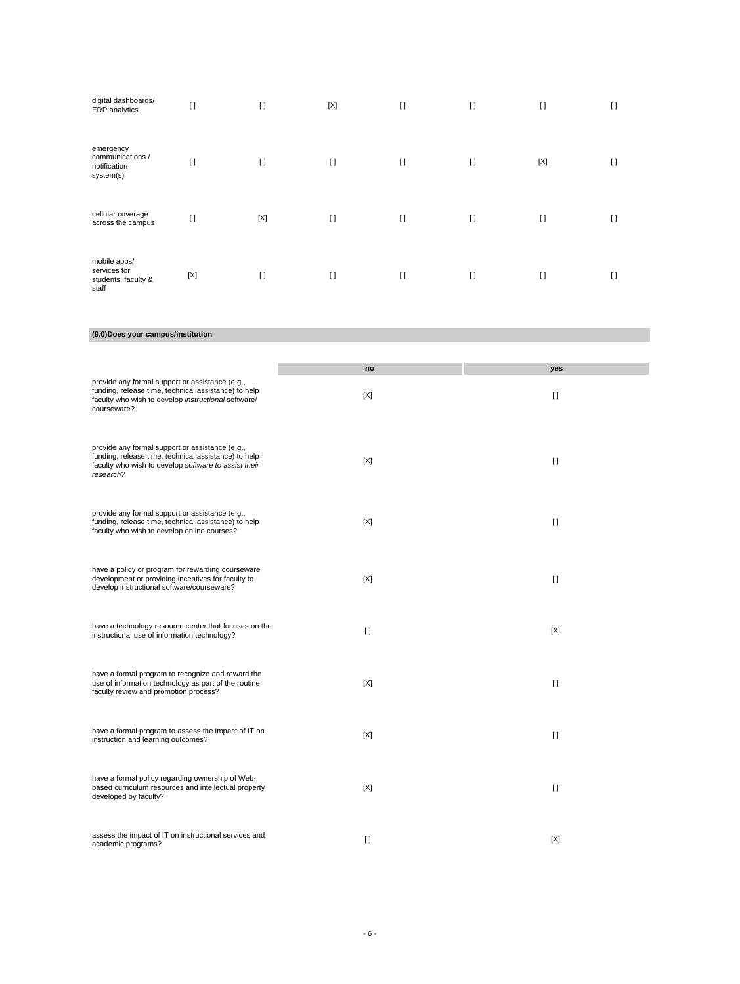| digital dashboards/<br>ERP analytics                         | $\lceil$    | $\lceil$    | $[{\sf X}]$ | $[ \ ]$ | $\mathbf{I}$ | $[ \ ]$      | $\lceil$       |
|--------------------------------------------------------------|-------------|-------------|-------------|---------|--------------|--------------|----------------|
| emergency<br>communications /<br>notification<br>system(s)   | $[ \ ]$     | $\lceil$    | $\lceil$    | $[ \ ]$ | $\lceil$     | $[{\sf X}]$  | $\Box$         |
| cellular coverage<br>across the campus                       | $[ \ ]$     | $[{\sf X}]$ | $[ \ ]$     | $[ \ ]$ | $\mathbf{I}$ | $[ \ ]$      | $\mathfrak{g}$ |
| mobile apps/<br>services for<br>students, faculty &<br>staff | $[{\sf X}]$ | $\lceil$    | $[ \ ]$     | $[ \ ]$ | $\mathbf{I}$ | $\mathbf{I}$ | $\lceil$       |

**(9.0)Does your campus/institution**

|                                                                                                                                                                               | no      | yes     |
|-------------------------------------------------------------------------------------------------------------------------------------------------------------------------------|---------|---------|
| provide any formal support or assistance (e.g.,<br>funding, release time, technical assistance) to help<br>faculty who wish to develop instructional software/<br>courseware? | [X]     | $[ \ ]$ |
| provide any formal support or assistance (e.g.,<br>funding, release time, technical assistance) to help<br>faculty who wish to develop software to assist their<br>research?  | [X]     | $\Box$  |
| provide any formal support or assistance (e.g.,<br>funding, release time, technical assistance) to help<br>faculty who wish to develop online courses?                        | [X]     | $\Box$  |
| have a policy or program for rewarding courseware<br>development or providing incentives for faculty to<br>develop instructional software/courseware?                         | [X]     | $\Box$  |
| have a technology resource center that focuses on the<br>instructional use of information technology?                                                                         | $\Box$  | [X]     |
| have a formal program to recognize and reward the<br>use of information technology as part of the routine<br>faculty review and promotion process?                            | [X]     | $\Box$  |
| have a formal program to assess the impact of IT on<br>instruction and learning outcomes?                                                                                     | [X]     | $\Box$  |
| have a formal policy regarding ownership of Web-<br>based curriculum resources and intellectual property<br>developed by faculty?                                             | [X]     | $\Box$  |
| assess the impact of IT on instructional services and<br>academic programs?                                                                                                   | $[ \ ]$ | [X]     |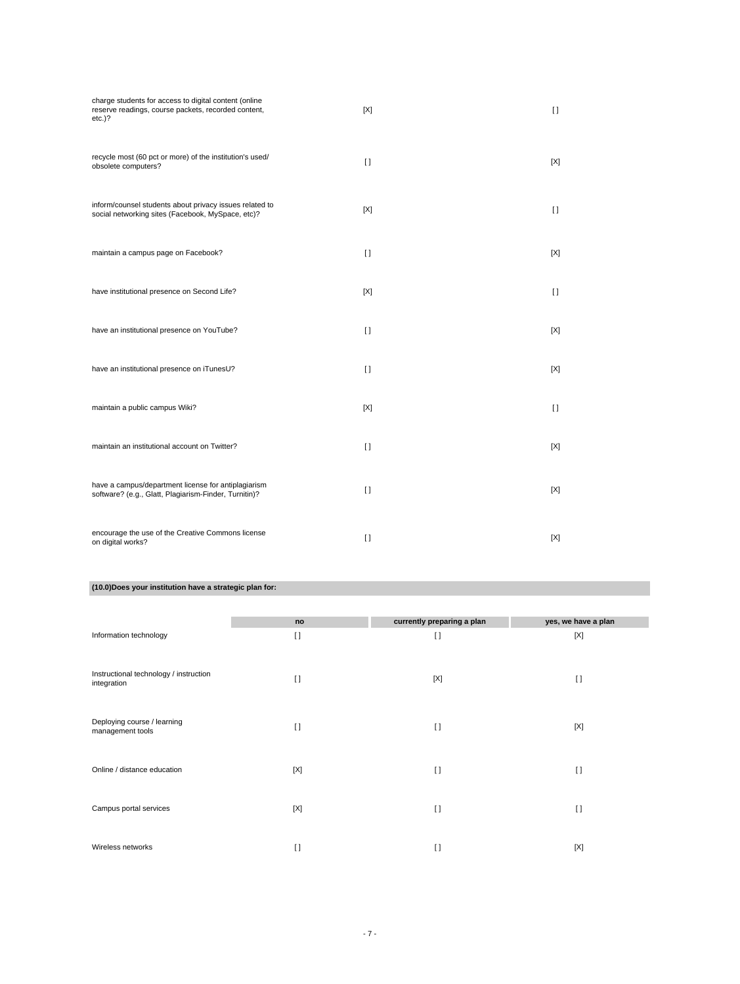| charge students for access to digital content (online<br>reserve readings, course packets, recorded content,<br>$etc.$ )? | [X]     | $\Box$ |
|---------------------------------------------------------------------------------------------------------------------------|---------|--------|
| recycle most (60 pct or more) of the institution's used/<br>obsolete computers?                                           | $\Box$  | [X]    |
| inform/counsel students about privacy issues related to<br>social networking sites (Facebook, MySpace, etc)?              | [X]     | $\Box$ |
| maintain a campus page on Facebook?                                                                                       | $\Box$  | [X]    |
| have institutional presence on Second Life?                                                                               | [X]     | $\Box$ |
| have an institutional presence on YouTube?                                                                                | $\Box$  | [X]    |
| have an institutional presence on iTunesU?                                                                                | $\Box$  | [X]    |
| maintain a public campus Wiki?                                                                                            | [X]     | $\Box$ |
| maintain an institutional account on Twitter?                                                                             | $\Box$  | [X]    |
| have a campus/department license for antiplagiarism<br>software? (e.g., Glatt, Plagiarism-Finder, Turnitin)?              | $[ \ ]$ | [X]    |
| encourage the use of the Creative Commons license<br>on digital works?                                                    | $[ \ ]$ | [X]    |

# **(10.0)Does your institution have a strategic plan for:**

|                                                       | no      | currently preparing a plan | yes, we have a plan |
|-------------------------------------------------------|---------|----------------------------|---------------------|
| Information technology                                | $[ \ ]$ | $[ \ ]$                    | [X]                 |
| Instructional technology / instruction<br>integration | $\Box$  | [X]                        | $\lceil$            |
| Deploying course / learning<br>management tools       | $\Box$  | $[ \ ]$                    | [X]                 |
| Online / distance education                           | [X]     | $\lceil$                   | $[ \ ]$             |
| Campus portal services                                | [X]     | $\lceil$                   | $[ \ ]$             |
| Wireless networks                                     | $\Box$  | $\lceil$                   | [X]                 |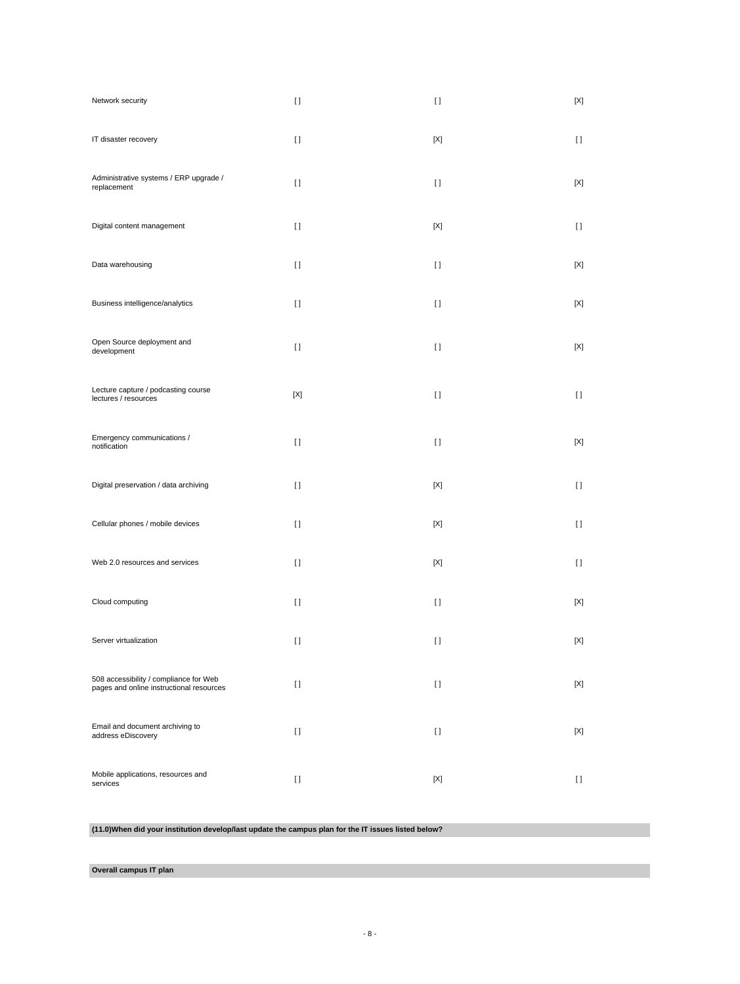| Network security                                                                   | $[ \ ]$                                | $[ \ ]$                                | [X]         |
|------------------------------------------------------------------------------------|----------------------------------------|----------------------------------------|-------------|
| IT disaster recovery                                                               | $[ \ ]$                                | [X]                                    | $[ \ ]$     |
| Administrative systems / ERP upgrade /<br>replacement                              | $[ \ ]$                                | $[ \ ]$                                | [X]         |
| Digital content management                                                         | $[ \ ]$                                | [X]                                    | $[ \ ]$     |
| Data warehousing                                                                   | $[ \ ]$                                | $[ \ ]$                                | [X]         |
| Business intelligence/analytics                                                    | $[ \ ]$                                | $[ \ ]$                                | [X]         |
| Open Source deployment and<br>development                                          | $[ \ ]$                                | $[ \ ]$                                | [X]         |
| Lecture capture / podcasting course<br>lectures / resources                        | $[{\sf X}]$                            | $[ \ ]$                                | $[ \ ]$     |
| Emergency communications /<br>notification                                         | $[ \ ]$                                | $[ \ ]$                                | [X]         |
| Digital preservation / data archiving                                              | $[ \ ]$                                | $[{\sf X}]$                            | $[ \ ]$     |
| Cellular phones / mobile devices                                                   | $[ \ ]$                                | [X]                                    | $[ \ ]$     |
| Web 2.0 resources and services                                                     | $[ \ ]$                                | $[{\sf X}]$                            | $[ \ ]$     |
| Cloud computing                                                                    | $[ \ ]$                                | $[ \ ]$                                | [X]         |
| Server virtualization                                                              | $\begin{array}{c} \square \end{array}$ | $\begin{array}{c} \square \end{array}$ | $[{\sf X}]$ |
| 508 accessibility / compliance for Web<br>pages and online instructional resources | $[ \ ]$                                | $[ \ ]$                                | $[{\sf X}]$ |
| Email and document archiving to<br>address eDiscovery                              | $[ \; ]$                               | $[ \ ]$                                | [X]         |
| Mobile applications, resources and<br>services                                     | $[ \ ]$                                | [X]                                    | H           |

**(11.0)When did your institution develop/last update the campus plan for the IT issues listed below?**

**Overall campus IT plan**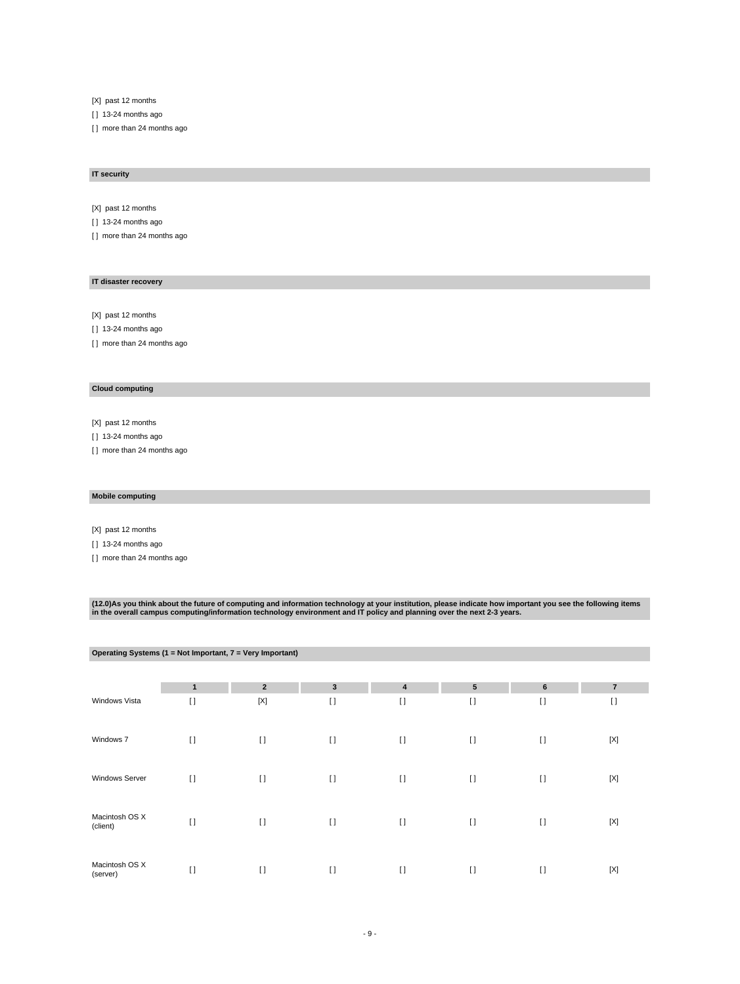[X] past 12 months

[ ] 13-24 months ago

[] more than 24 months ago

#### **IT security**

[X] past 12 months

[ ] 13-24 months ago

[] more than 24 months ago

#### **IT disaster recovery**

[X] past 12 months

[ ] 13-24 months ago

[] more than 24 months ago

# **Cloud computing**

[X] past 12 months

[ ] 13-24 months ago

[] more than 24 months ago

#### **Mobile computing**

[X] past 12 months

[ ] 13-24 months ago

[ ] more than 24 months ago

(12.0)As you think about the future of computing and information technology at your institution, please indicate how important you see the following items<br>in the overall campus computing/information technology environment

| Operating Systems (1 = Not Important, 7 = Very Important) |              |                |          |          |                |          |                |  |
|-----------------------------------------------------------|--------------|----------------|----------|----------|----------------|----------|----------------|--|
|                                                           |              |                |          |          |                |          |                |  |
|                                                           | $\mathbf{1}$ | $\overline{2}$ | 3        | 4        | $5\phantom{1}$ | 6        | $\overline{7}$ |  |
| Windows Vista                                             | $\Box$       | [X]            | $\lceil$ | $[ \ ]$  | $\Box$         | $[ \ ]$  | $\lceil$       |  |
| Windows 7                                                 | $\lceil$     | $[ \ ]$        | $\lceil$ | $\lceil$ | $\lceil$       | $\lceil$ | $[{\sf X}]$    |  |
| <b>Windows Server</b>                                     | $\lceil$     | $\Box$         | $\lceil$ | $\lceil$ | $\Box$         | $\lceil$ | [X]            |  |
| Macintosh OS X<br>(client)                                | $\lceil$     | $[ \ ]$        | $\lceil$ | $[ \ ]$  | $\lceil$       | $\lceil$ | [X]            |  |
| Macintosh OS X<br>(server)                                | $\lceil$     | $\lceil$       | $[ \ ]$  | $\lceil$ | $\lceil$       | $[ \ ]$  | $[{\sf X}]$    |  |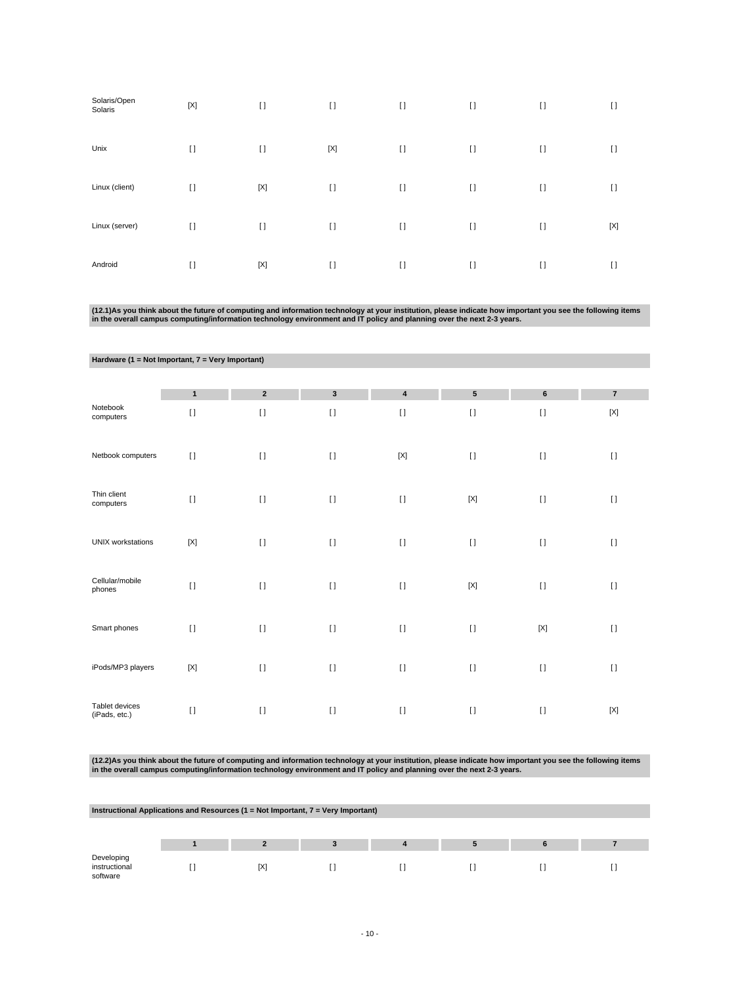| Solaris/Open<br>Solaris | $[{\sf X}]$ | $\lceil$    | $[ \ ]$     | $\lceil$ | $\lceil$     | $[ \ ]$ | $[ \ ]$ |
|-------------------------|-------------|-------------|-------------|----------|--------------|---------|---------|
| Unix                    | $\lceil$    | $\lceil$    | $[{\sf X}]$ | $\lceil$ | $\lceil$     | $[ \ ]$ | $[ \ ]$ |
| Linux (client)          | $[ \ ]$     | $[{\sf X}]$ | $[ \ ]$     | $\lceil$ | $\mathbf{I}$ | $[ \ ]$ | $[ \ ]$ |
| Linux (server)          | $[ \ ]$     | $\lceil$    | $\lceil$    | $\lceil$ | $\mathbf{I}$ | $[ \ ]$ | [X]     |
| Android                 | $\lceil$    | $[{\sf X}]$ | $[ \ ]$     | $\lceil$ | $\mathbf{I}$ | $[ \ ]$ | $\Box$  |

(12.1)As you think about the future of computing and information technology at your institution, please indicate how important you see the following items<br>in the overall campus computing/information technology environment

| Hardware (1 = Not Important, 7 = Very Important) |                |                |              |                           |                 |             |                |  |
|--------------------------------------------------|----------------|----------------|--------------|---------------------------|-----------------|-------------|----------------|--|
|                                                  |                |                |              |                           |                 |             |                |  |
|                                                  | $\mathbf{1}$   | $\overline{2}$ | $\mathbf{3}$ | $\pmb{4}$                 | $5\phantom{.0}$ | $\bf 6$     | $\overline{7}$ |  |
| Notebook<br>computers                            | $[ \; ]$       | $\mathbf{I}$   | $\lceil$     | $[ \; ]$                  | $\lceil$        | $[ \ ]$     | $[{\sf X}]$    |  |
| Netbook computers                                | $\lceil$       | $[ \; ]$       | $[ \; ]$     | $\left[ \text{X} \right]$ | $[ \; ]$        | $[ \ ]$     | $[ \ ]$        |  |
| Thin client<br>computers                         | $\lceil$       | $\mathbf{I}$   | $[ \; ]$     | $[ \; ]$                  | $[{\sf X}]$     | $\lceil$    | $\lceil$       |  |
| <b>UNIX</b> workstations                         | $[{\sf X}]$    | $\mathbf{I}$   | $[ \; ]$     | $\left[ \ \right]$        | $[ \; ]$        | $[ \; ]$    | $[ \; ]$       |  |
| Cellular/mobile<br>phones                        | $\mathbf{I}$   | $\mathbf{I}$   | $[ \ ]$      | $[ \; ]$                  | $[{\sf X}]$     | $[ \ ]$     | $\lceil$       |  |
| Smart phones                                     | $\lceil$       | $\mathbf{I}$   | $[ \; ]$     | $[ \; ]$                  | $\lceil$        | $[{\sf X}]$ | $[ \; ]$       |  |
| iPods/MP3 players                                | $[\mathsf{X}]$ | $[ \; ]$       | $[ \; ]$     | $[ \; ]$                  | $[ \; ]$        | $[ \; ]$    | $[ \ ]$        |  |
| Tablet devices<br>(iPads, etc.)                  | $\lceil$       | $\mathbf{I}$   | $[ \; ]$     | $[ \ ]$                   | $\lceil$        | $\lceil$    | $[{\sf X}]$    |  |

(12.2)As you think about the future of computing and information technology at your institution, please indicate how important you see the following items<br>in the overall campus computing/information technology environment

| Instructional Applications and Resources ( $1 = Not$ Important, $7 = Very$ Important) |  |     |  |  |  |  |  |  |  |  |  |
|---------------------------------------------------------------------------------------|--|-----|--|--|--|--|--|--|--|--|--|
|                                                                                       |  |     |  |  |  |  |  |  |  |  |  |
|                                                                                       |  |     |  |  |  |  |  |  |  |  |  |
| Developing<br>instructional<br>software                                               |  | [X] |  |  |  |  |  |  |  |  |  |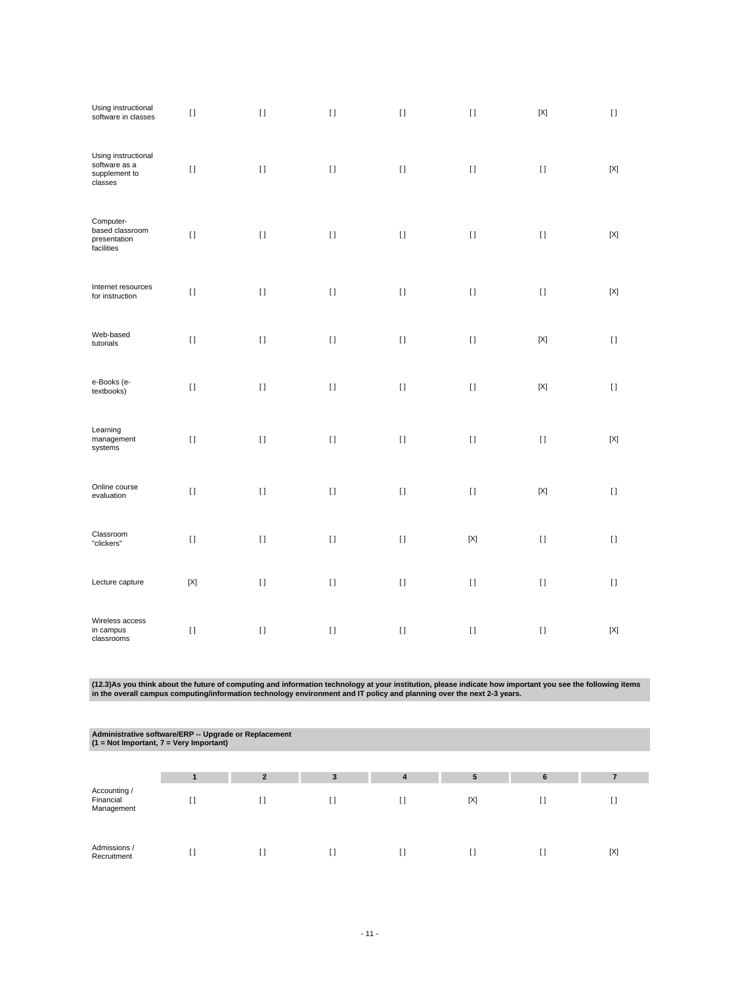| Using instructional<br>software in classes                       | $[ \ ]$     | $[ \ ]$                                | $[ \ ]$  | $[ \; ]$ | $[ \ ]$     | $[{\sf X}]$               | $[ \ ]$     |
|------------------------------------------------------------------|-------------|----------------------------------------|----------|----------|-------------|---------------------------|-------------|
| Using instructional<br>software as a<br>supplement to<br>classes | $[ \ ]$     | $[ \ ]$                                | $[ \ ]$  | $[ \ ]$  | $[ \ ]$     | $[ \ ]$                   | $[{\sf X}]$ |
| Computer-<br>based classroom<br>presentation<br>facilities       | $[ \ ]$     | $[ \ ]$                                | $[ \; ]$ | $[ \ ]$  | $[ \; ]$    | $[ \; ]$                  | $[{\sf X}]$ |
| Internet resources<br>for instruction                            | $[ \; ]$    | $[ \; ]$                               | $[ \; ]$ | $[ \; ]$ | $[ \ ]$     | $[ \; ]$                  | $[{\sf X}]$ |
| Web-based<br>tutorials                                           | $[ \; ]$    | $\begin{array}{c} \square \end{array}$ | $[ \; ]$ | $[ \; ]$ | $[ \ ]$     | $[{\sf X}]$               | $[ \ ]$     |
| e-Books (e-<br>textbooks)                                        | $[ \; ]$    | $[ \; ]$                               | $[ \; ]$ | $[ \; ]$ | $[ \ ]$     | $[{\sf X}]$               | $[ \; ]$    |
| Learning<br>management<br>systems                                | $[ \; ]$    | $[ \ ]$                                | $[ \; ]$ | $[ \; ]$ | $[ \; ]$    | $[ \ ]$                   | $[{\sf X}]$ |
| Online course<br>evaluation                                      | $[ \ ]$     | $[ \ ]$                                | $[ \ ]$  | $[ \ ]$  | $[ \; ]$    | $\left[ \text{X} \right]$ | $[ \; ]$    |
| Classroom<br>"clickers"                                          | $[ \; ]$    | $[ \; ]$                               | $[ \ ]$  | $[ \; ]$ | $[{\sf X}]$ | $[ \; ]$                  | $[ \; ]$    |
| Lecture capture                                                  | $[{\sf X}]$ | $[ \ ]$                                | $[ \ ]$  | $[ \; ]$ | $[ \ ]$     | $[ \ ]$                   | $[ \ ]$     |
| Wireless access<br>in campus<br>classrooms                       | $[ \; ]$    | $\begin{array}{c} \square \end{array}$ | $[ \ ]$  | $[ \; ]$ | $[ \ ]$     | $[ \; ]$                  | $[{\sf X}]$ |

(12.3)As you think about the future of computing and information technology at your institution, please indicate how important you see the following items<br>in the overall campus computing/information technology environment

| Administrative software/ERP -- Upgrade or Replacement<br>$(1 = Not Important, 7 = Very Important)$ |    |                |    |   |     |   |     |  |  |  |  |
|----------------------------------------------------------------------------------------------------|----|----------------|----|---|-----|---|-----|--|--|--|--|
|                                                                                                    |    |                |    |   |     |   |     |  |  |  |  |
|                                                                                                    |    | $\overline{2}$ | 3  | 4 | 5   | 6 |     |  |  |  |  |
| Accounting /<br>Financial<br>Management                                                            | [] | ſ1             | I) |   | [X] | U | H   |  |  |  |  |
| Admissions /<br>Recruitment                                                                        | [] | ſΙ             | Ħ  |   |     |   | [X] |  |  |  |  |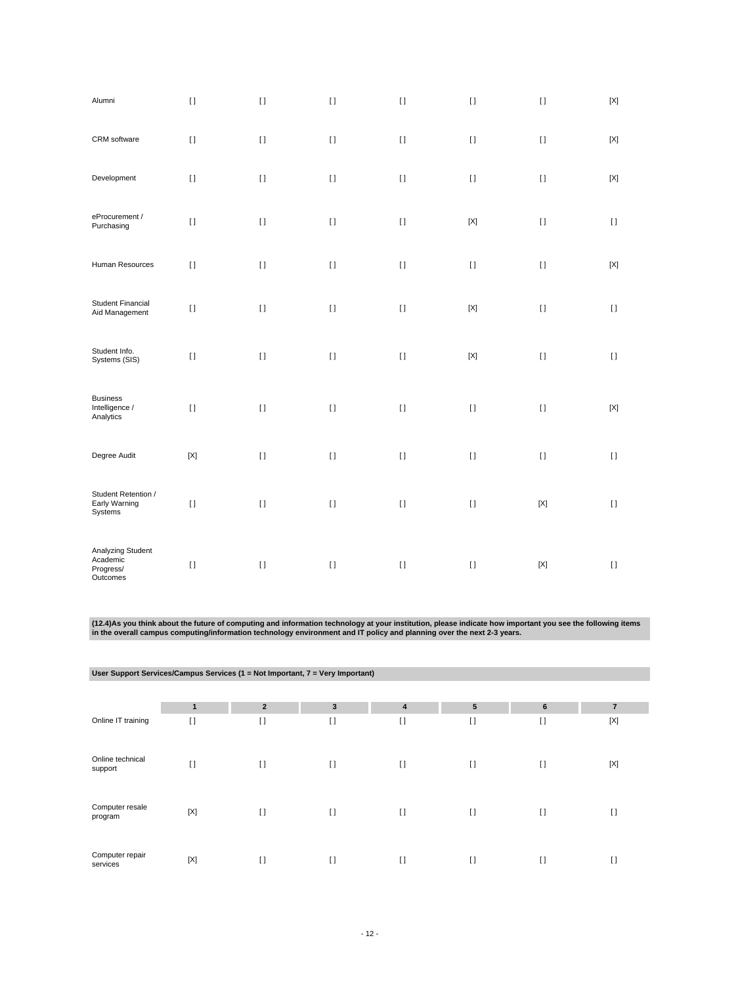| Alumni                                                 | $[ \; ]$    | $[ \; ]$ | $[ \ ]$            | $[ \; ]$ | $[ \; ]$                  | $[ \; ]$                  | $[{\sf X}]$ |
|--------------------------------------------------------|-------------|----------|--------------------|----------|---------------------------|---------------------------|-------------|
| CRM software                                           | $[ \ ]$     | $[ \; ]$ | $\left[ \ \right]$ | $[ \; ]$ | $[ \ ]$                   | $[ \; ]$                  | $[{\sf X}]$ |
| Development                                            | $[ \; ]$    | $\lceil$ | $[ \; ]$           | $[ \ ]$  | $[ \ ]$                   | $[ \ ]$                   | [X]         |
| eProcurement /<br>Purchasing                           | $[ \ ]$     | $[ \ ]$  | $[ \; ]$           | $[ \; ]$ | $\left[ \text{X} \right]$ | $[ \; ]$                  | $[ \ ]$     |
| Human Resources                                        | $[ \ ]$     | $[1]$    | $[ \; ]$           | $[ \; ]$ | $[ \; ]$                  | $[ \ ]$                   | $[{\sf X}]$ |
| <b>Student Financial</b><br>Aid Management             | $[ \; ]$    | $\lceil$ | $[ \ ]$            | $[ \ ]$  | $[{\sf X}]$               | $[ \ ]$                   | $[ \ ]$     |
| Student Info.<br>Systems (SIS)                         | $[ \ ]$     | $[ \ ]$  | $[ \; ]$           | $[ \; ]$ | $[{\sf X}]$               | $[ \ ]$                   | $[ \; ]$    |
| <b>Business</b><br>Intelligence /<br>Analytics         | $[ \ ]$     | $[1]$    | $[ \; ]$           | $[ \; ]$ | $[ \; ]$                  | $[ \ ]$                   | $[{\sf X}]$ |
| Degree Audit                                           | $[{\sf X}]$ | $[ \; ]$ | $\left[ \ \right]$ | $[ \; ]$ | $[ \ ]$                   | $[ \ ]$                   | $[ \ ]$     |
| Student Retention /<br>Early Warning<br>Systems        | $[ \; ]$    | $[ \; ]$ | $[ \; ]$           | $[ \; ]$ | $[ \ ]$                   | $\left[ \text{X} \right]$ | $[ \ ]$     |
| Analyzing Student<br>Academic<br>Progress/<br>Outcomes | $[ \; ]$    | $\lceil$ | $[ \ ]$            | $[ \ ]$  | $[ \ ]$                   | [X]                       | $[ \ ]$     |

(12.4)As you think about the future of computing and information technology at your institution, please indicate how important you see the following items<br>in the overall campus computing/information technology environment

|                             |             | User Support Services/Campus Services (1 = Not Important, 7 = Very Important) |              |                         |                |         |                |
|-----------------------------|-------------|-------------------------------------------------------------------------------|--------------|-------------------------|----------------|---------|----------------|
|                             |             |                                                                               |              |                         |                |         |                |
|                             | 1           | $\overline{2}$                                                                | $\mathbf{3}$ | $\overline{\mathbf{4}}$ | $5\phantom{1}$ | 6       | $\overline{7}$ |
| Online IT training          | $[ \ ]$     | $\lceil$                                                                      | $[ \ ]$      | $[ \ ]$                 | $\mathbf{I}$   | $[ \ ]$ | $[{\sf X}]$    |
| Online technical<br>support | $[ \ ]$     | $\mathbf{I}$                                                                  | $[ \ ]$      | $[ \ ]$                 | $\mathbf{I}$   | $[ \ ]$ | $[{\sf X}]$    |
| Computer resale<br>program  | $[{\sf X}]$ | $\lceil$                                                                      | $[ \ ]$      | $[ \ ]$                 | $[ ]$          | $[ \ ]$ | $\lceil$       |
| Computer repair<br>services | $[{\sf X}]$ | $\mathbf{I}$                                                                  | $\lceil$     | $\lceil$                | $\Box$         | $[ \ ]$ | $\lceil$       |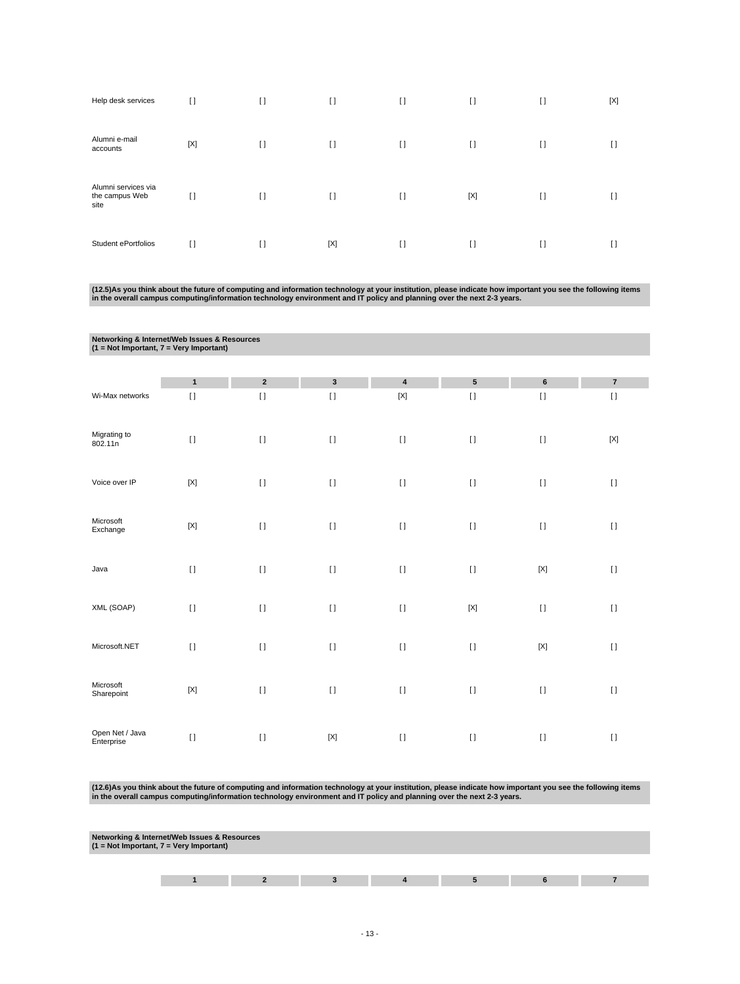| Help desk services                            | $\Box$ | $\mathbf{I}$ | $\lceil$ | $[ \ ]$  | $\mathbf{I}$ | $[ \ ]$ | [X]    |
|-----------------------------------------------|--------|--------------|----------|----------|--------------|---------|--------|
| Alumni e-mail<br>accounts                     | [X]    | $\mathbf{I}$ | $[ \ ]$  | $[ \ ]$  | $\Box$       | $\Box$  | $\Box$ |
| Alumni services via<br>the campus Web<br>site | $\Box$ | $\mathbf{I}$ | $[ \ ]$  | $\lceil$ | [X]          | $[ \ ]$ | H      |
| Student ePortfolios                           | $\Box$ | $\Box$       | [X]      | $\Box$   | $\Box$       | $\Box$  | $\Box$ |

(12.5)As you think about the future of computing and information technology at your institution, please indicate how important you see the following items<br>in the overall campus computing/information technology environment

| Networking & Internet/Web Issues & Resources<br>$(1 = Not Important, 7 = Very Important)$ |                           |              |              |                           |             |             |             |
|-------------------------------------------------------------------------------------------|---------------------------|--------------|--------------|---------------------------|-------------|-------------|-------------|
|                                                                                           |                           |              |              |                           |             |             |             |
|                                                                                           | $\mathbf{1}$              | $\mathbf 2$  | $\mathbf{3}$ | $\pmb{4}$                 | ${\bf 5}$   | $\bf 6$     | $\bf 7$     |
| Wi-Max networks                                                                           | $[ \; ]$                  | $\bar{\Pi}$  | $[ \ ]$      | $\left[ \text{X} \right]$ | $[ \ ]$     | $[ \ ]$     | $[ \ ]$     |
| Migrating to<br>802.11n                                                                   | $[ \; ]$                  | $[ \ ]$      | $[ \; ]$     | $[ \ ]$                   | $[ \ ]$     | $[ \ ]$     | $[{\sf X}]$ |
| Voice over IP                                                                             | $[{\sf X}]$               | $\mathbf{I}$ | $\lceil$     | $[ \ ]$                   | $\lceil$    | $[ \ ]$     | $[ \; ]$    |
| Microsoft<br>Exchange                                                                     | $\left[ \text{X} \right]$ | $[ \ ]$      | $[ \ ]$      | $[ \; ]$                  | $\lceil$    | $[ \ ]$     | $[ \; ]$    |
| Java                                                                                      | $[ \; ]$                  | $[ \; ]$     | $[ \ ]$      | $[ \ ]$                   | $[ \; ]$    | $[{\sf X}]$ | $[ \; ]$    |
| XML (SOAP)                                                                                | $\lceil$                  | $[ \; ]$     | $[ \ ]$      | $[ \; ]$                  | $[{\sf X}]$ | $[ \ ]$     | $[ \ ]$     |
| Microsoft.NET                                                                             | $[ \ ]$                   | $[ \ ]$      | $[ \; ]$     | $[ \; ]$                  | $[ \; ]$    | $[{\sf X}]$ | $[ \; ]$    |
| Microsoft<br>Sharepoint                                                                   | $[{\sf X}]$               | $[ \; ]$     | $[ \; ]$     | $[ \ ]$                   | $[ \ ]$     | $[ \; ]$    | $[ \; ]$    |
| Open Net / Java<br>Enterprise                                                             | $\mathbf{I}$              | $\mathbf{I}$ | $[{\sf X}]$  | $[ \ ]$                   | $\lceil$    | $[ \ ]$     | $\lceil$    |

(12.6)As you think about the future of computing and information technology at your institution, please indicate how important you see the following items<br>in the overall campus computing/information technology environment

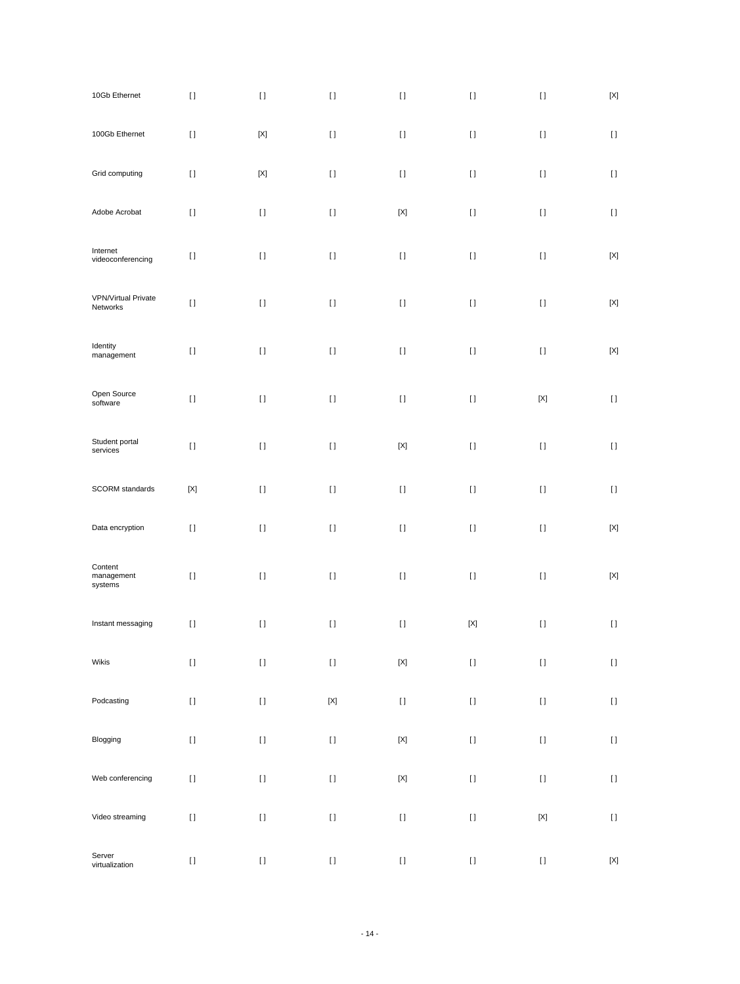| 10Gb Ethernet                          | $[ \ ]$     | $[ \ ]$                                                                                                                                                                                               | $[ \; ]$    | $[ \; ]$    | $[ \: ]$                                                                                                                                                                                                                                           | $[] \centering \includegraphics[width=0.47\textwidth]{images/TrDiS-Architecture.png} \caption{The 3D (top) and 4D (bottom) are used for the 3D (bottom) and 3D (bottom).} \label{TrDiS-Architecture}$ | $\left[ \text{X} \right]$              |
|----------------------------------------|-------------|-------------------------------------------------------------------------------------------------------------------------------------------------------------------------------------------------------|-------------|-------------|----------------------------------------------------------------------------------------------------------------------------------------------------------------------------------------------------------------------------------------------------|-------------------------------------------------------------------------------------------------------------------------------------------------------------------------------------------------------|----------------------------------------|
| 100Gb Ethernet                         | $[ \ ]$     | $\left[ \text{X} \right]$                                                                                                                                                                             | $[ \; ]$    | $[ \ ]$     | $[ \; ]$                                                                                                                                                                                                                                           | $[ \ ]$                                                                                                                                                                                               | $\begin{array}{c} \square \end{array}$ |
| Grid computing                         | $[ \ ]$     | $[{\sf X}]$                                                                                                                                                                                           | $[ \; ]$    | $[ \; ]$    | $[ \; ]$                                                                                                                                                                                                                                           | $[ \; ]$                                                                                                                                                                                              | $\left[ \ \right]$                     |
| Adobe Acrobat                          | $[ \: ]$    | $[ \; ]$                                                                                                                                                                                              | $[ \ ]$     | $[{\sf X}]$ | $[ \; ]$                                                                                                                                                                                                                                           | $[ \ ]$                                                                                                                                                                                               | $[ \ ]$                                |
| Internet<br>videoconferencing          | $[ \ ]$     | $[ \; ]$                                                                                                                                                                                              | $[ \; ]$    | $[ \; ]$    | $[ \; ]$                                                                                                                                                                                                                                           | $[ \; ]$                                                                                                                                                                                              | $[{\sf X}]$                            |
| <b>VPN/Virtual Private</b><br>Networks | $[ \: ]$    | $[ \ ]$                                                                                                                                                                                               | $[ \; ]$    | $[ \; ]$    | $[ \ ]$                                                                                                                                                                                                                                            | $[ \; ]$                                                                                                                                                                                              | $[{\sf X}]$                            |
| Identity<br>management                 | $[ \: ]$    | $[ \; ]$                                                                                                                                                                                              | $[ \; ]$    | $[ \; ]$    | $[ \: ]$                                                                                                                                                                                                                                           | $[ \; ]$                                                                                                                                                                                              | $\left[ \text{X} \right]$              |
| Open Source<br>software                | $[ \: ]$    | $[ \ ]$                                                                                                                                                                                               | $[ \ ]$     | $[ \; ]$    | $[ \ ]$                                                                                                                                                                                                                                            | $\left[ \text{X} \right]$                                                                                                                                                                             | $\left[ \ \right]$                     |
| Student portal<br>services             | $[ \; ]$    | $[ \; ]$                                                                                                                                                                                              | $[ \; ]$    | $[{\sf X}]$ | $[ \; ]$                                                                                                                                                                                                                                           | $[ \; ]$                                                                                                                                                                                              | $[ \; ]$                               |
| SCORM standards                        | $[{\sf X}]$ | $[ \ ]$                                                                                                                                                                                               | $[ \ ]$     | $[ \; ]$    | $[ \ ]$                                                                                                                                                                                                                                            | $[ \; ]$                                                                                                                                                                                              | $\left[ \ \right]$                     |
| Data encryption                        | $[ \; ]$    | $[] \centering \includegraphics[width=0.47\textwidth]{images/TrDiS-Architecture.png} \caption{The 3D (top) and 4D (bottom) are used for the 3D (bottom) and 3D (bottom).} \label{TrDiS-Architecture}$ | $[ \; ]$    | $[ \; ]$    | $[ \; ]$                                                                                                                                                                                                                                           | $[ \ ]$                                                                                                                                                                                               | $\left[ \text{X} \right]$              |
| Content<br>management<br>systems       | $[ \ ]$     | $[ \ ]$                                                                                                                                                                                               | $[ \; ]$    | $[ \ ]$     | $[ \ ]$                                                                                                                                                                                                                                            | $[ \; ]$                                                                                                                                                                                              | $\left[ \text{X} \right]$              |
| Instant messaging                      | $[ \: ]$    | $[ \; ]$                                                                                                                                                                                              | $[ \ ]$     | $[ \ ]$     | $[{\sf X}]$                                                                                                                                                                                                                                        | $[ \; ]$                                                                                                                                                                                              | $\left[ \ \right]$                     |
| Wikis                                  | $[ \ ]$     | $[ \, ]$                                                                                                                                                                                              | $[ \ ]$     | $[{\sf X}]$ |                                                                                                                                                                                                                                                    | $[] \centering \includegraphics[width=0.47\textwidth]{images/TrDiS-Architecture.png} \caption{The 3D (top) and 4D (bottom) are used for the 3D (bottom) and 3D (bottom).} \label{TrDiS-Architecture}$ | $[ \ ]$                                |
| Podcasting                             | $[ \ ]$     | $[ \ ]$                                                                                                                                                                                               | $[{\sf X}]$ | $[ \ ]$     | $[] \centering \includegraphics[width=0.47\textwidth]{images/TrDiS-Architecture.png} \caption{The 3D (top) and 4D (bottom) are used for the 3D (bottom) and 3D (bottom) are used for the 3D (bottom) and 3D (bottom).} \label{TrDiS-Architecture}$ | $[ \, ]$                                                                                                                                                                                              | $\begin{array}{c} \square \end{array}$ |
| Blogging                               | $[ \ ]$     | $[ \, ]$                                                                                                                                                                                              | $[ \: ]$    | $[{\sf X}]$ | $[] \centering \includegraphics[width=0.47\textwidth]{images/TrDiS-Architecture.png} \caption{The 3D (top) and 4D (bottom) are used for the 3D (bottom) and 3D (bottom).} \label{TrDiS-Architecture}$                                              | $[ \: ]$                                                                                                                                                                                              | $[ \: ]$                               |
| Web conferencing                       | $[ \ ]$     | $[ \ ]$                                                                                                                                                                                               | $[ \ ]$     | $[{\sf X}]$ | $[] \centering \includegraphics[width=0.47\textwidth]{images/TrDiS-Architecture.png} \caption{The 3D (top) and 4D (bottom) are used for the 3D (bottom) and 3D (bottom) are used for the 3D (bottom) and 3D (bottom).} \label{TrDiS-Architecture}$ | $[ \: ]$                                                                                                                                                                                              | $[ \: ]$                               |
| Video streaming                        | $[ \ ]$     | $[ \, ]$                                                                                                                                                                                              | $[ \ ]$     | $[ \ ]$     | $[] \centering \includegraphics[width=0.47\textwidth]{images/TrDiS-Architecture.png} \caption{The 3D (top) and 4D (bottom) are used for the 3D (bottom) and 3D (bottom).} \label{TrDiS-Architecture}$                                              | $\left[ \text{X} \right]$                                                                                                                                                                             | $[ \; ]$                               |
| Server<br>virtualization               | $[ \ ]$     | $[ \ ]$                                                                                                                                                                                               | $[ \: ]$    | $[ \, ]$    | $[] \centering \includegraphics[width=0.47\textwidth]{images/TrDiS-Architecture.png} \caption{The 3D (top) and 4D (bottom) are used for the 3D (bottom) and 3D (bottom) are used for the 3D (bottom) and 3D (bottom).} \label{TrDiS-Architecture}$ | $[ \: ]$                                                                                                                                                                                              | $[{\sf X}]$                            |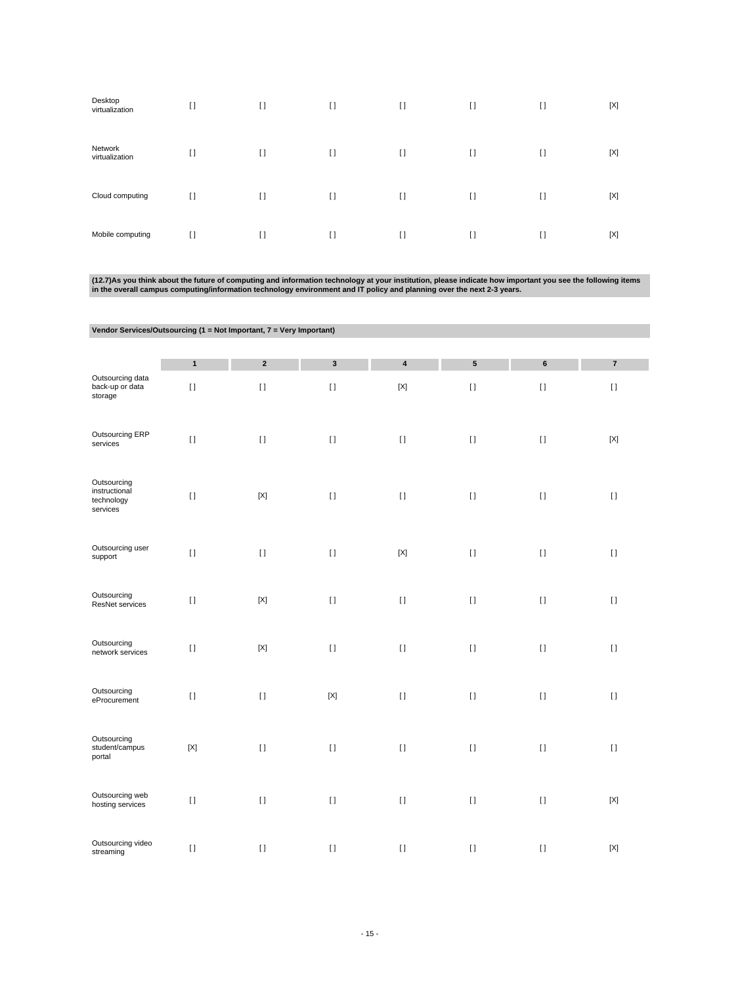| Desktop<br>virtualization | $[ \ ]$        | I)           | $[ \ ]$ | $\lceil$ | $[ \ ]$      | $[ \ ]$ | [X] |
|---------------------------|----------------|--------------|---------|----------|--------------|---------|-----|
| Network<br>virtualization | $\mathfrak{g}$ | I)           | $[ \ ]$ | $\lceil$ | $\mathbf{I}$ | $[ \ ]$ | [X] |
| Cloud computing           | $[ \ ]$        | $\mathbf{I}$ | $[ \ ]$ | $\lceil$ | $\mathbf{I}$ | $[ \ ]$ | [X] |
| Mobile computing          | $\lceil$       | $\mathbf{I}$ | $[ \ ]$ | $\Box$   | $\Box$       | $\Box$  | [X] |

(12.7)As you think about the future of computing and information technology at your institution, please indicate how important you see the following items<br>in the overall campus computing/information technology environment

| Vendor Services/Outsourcing (1 = Not Important, 7 = Very Important) |              |              |             |             |           |          |             |
|---------------------------------------------------------------------|--------------|--------------|-------------|-------------|-----------|----------|-------------|
|                                                                     | $\mathbf{1}$ | $\mathbf 2$  | $\mathbf 3$ | $\pmb{4}$   | ${\bf 5}$ | $\bf 6$  | $\bf 7$     |
| Outsourcing data<br>back-up or data<br>storage                      | $[ \; ]$     | $[ \ ]$      | $[ \; ]$    | $[{\sf X}]$ | $[ \ ]$   | $[ \ ]$  | $[ \; ]$    |
| Outsourcing ERP<br>services                                         | $[ \ ]$      | $[ \; ]$     | $[ \ ]$     | $[ \; ]$    | $[ \; ]$  | $[ \; ]$ | $[{\sf X}]$ |
| Outsourcing<br>instructional<br>technology<br>services              | $\lceil$     | $[{\sf X}]$  | $[ \ ]$     | $[ \ ]$     | $[ \; ]$  | $[ \; ]$ | $[ \ ]$     |
| Outsourcing user<br>support                                         | $[ \ ]$      | $\bar{\Pi}$  | $[ \ ]$     | $[{\sf X}]$ | $[ \ ]$   | $[ \; ]$ | $[ \; ]$    |
| Outsourcing<br>ResNet services                                      | $\lceil$     | $[{\sf X}]$  | $[ \ ]$     | $[ \ ]$     | $[ \ ]$   | $[ \; ]$ | $[ \ ]$     |
| Outsourcing<br>network services                                     | $\lceil$     | $[{\sf X}]$  | $[ \ ]$     | $[ \ ]$     | $[ \ ]$   | $[ \; ]$ | $[ \ ]$     |
| Outsourcing<br>eProcurement                                         | $\lceil$     | $\mathbf{I}$ | $[{\sf X}]$ | $[ \; ]$    | $[ \ ]$   | $[ \; ]$ | $[ \ ]$     |
| Outsourcing<br>student/campus<br>portal                             | $[{\sf X}]$  | $[ \ ]$      | $[ \ ]$     | $[ \; ]$    | $[ \ ]$   | $[ \; ]$ | $[ \; ]$    |
| Outsourcing web<br>hosting services                                 | $[ \; ]$     | $\bar{\Pi}$  | $[ \ ]$     | $[ \; ]$    | $\lceil$  | $[ \ ]$  | $[{\sf X}]$ |
| Outsourcing video<br>streaming                                      | $[ \; ]$     | $[ \; ]$     | $[ \ ]$     | $[ \; ]$    | $[ \ ]$   | $[ \; ]$ | $[{\sf X}]$ |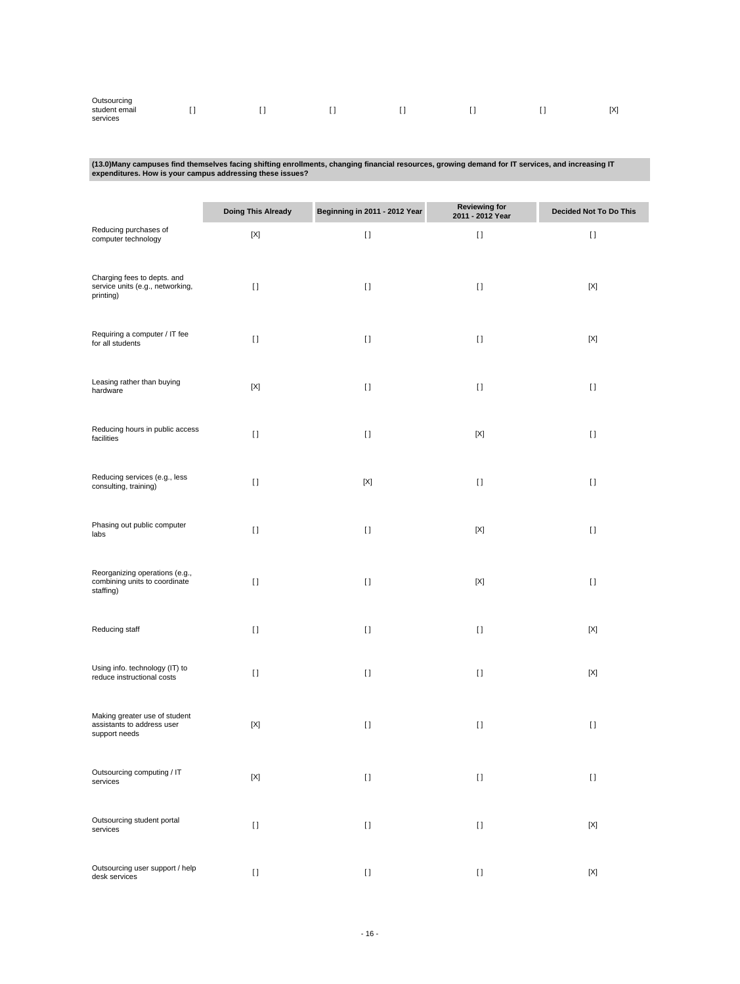| Outsourcing               |  |     |     |     |
|---------------------------|--|-----|-----|-----|
| student email<br>services |  | . . | . . | [X] |

# **(13.0)Many campuses find themselves facing shifting enrollments, changing financial resources, growing demand for IT services, and increasing IT expenditures. How is your campus addressing these issues?**

|                                                                              | <b>Doing This Already</b> | Beginning in 2011 - 2012 Year | Reviewing for<br>2011 - 2012 Year | Decided Not To Do This |
|------------------------------------------------------------------------------|---------------------------|-------------------------------|-----------------------------------|------------------------|
| Reducing purchases of<br>computer technology                                 | $[{\sf X}]$               | $[ \; ]$                      | $[ \ ]$                           | $[ \; ]$               |
| Charging fees to depts. and<br>service units (e.g., networking,<br>printing) | $[ \ ]$                   | $[ \ ]$                       | $[ \ ]$                           | $[{\sf X}]$            |
| Requiring a computer / IT fee<br>for all students                            | $[ \ ]$                   | $[ \ ]$                       | $\lceil$                          | $[{\sf X}]$            |
| Leasing rather than buying<br>hardware                                       | $[{\sf X}]$               | $[ \ ]$                       | $[ \ ]$                           | $[ \ ]$                |
| Reducing hours in public access<br>facilities                                | $[ \ ]$                   | $[ \; ]$                      | $[{\sf X}]$                       | $[ \; ]$               |
| Reducing services (e.g., less<br>consulting, training)                       | $[ \; ]$                  | $[{\sf X}]$                   | $\mathbf{I}$                      | $[ \ ]$                |
| Phasing out public computer<br>labs                                          | $\mathbf{I}$              | $[ \ ]$                       | [X]                               | $[ \ ]$                |
| Reorganizing operations (e.g.,<br>combining units to coordinate<br>staffing) | $[ \ ]$                   | $[ \ ]$                       | [X]                               | $[ \; ]$               |
| Reducing staff                                                               | $[ \ ]$                   | $[ \ ]$                       | $\lceil$                          | $[{\sf X}]$            |
| Using info. technology (IT) to<br>reduce instructional costs                 | $[ \; ]$                  | $[ \; ]$                      | $[ \; ]$                          | $[{\sf X}]$            |
| Making greater use of student<br>assistants to address user<br>support needs | $[{\sf X}]$               | $[ \; ]$                      | $[ \ ]$                           | $[ \; ]$               |
| Outsourcing computing / IT<br>services                                       | $[{\sf X}]$               | $[ \ ]$                       | $[ \; ]$                          | $[ \ ]$                |
| Outsourcing student portal<br>services                                       | $[ \; ]$                  | $[ \; ]$                      | $[ \; ]$                          | $[{\sf X}]$            |
| Outsourcing user support / help<br>desk services                             | $[ \ ]$                   | $[ \ ]$                       | $[ \ ]$                           | $[{\sf X}]$            |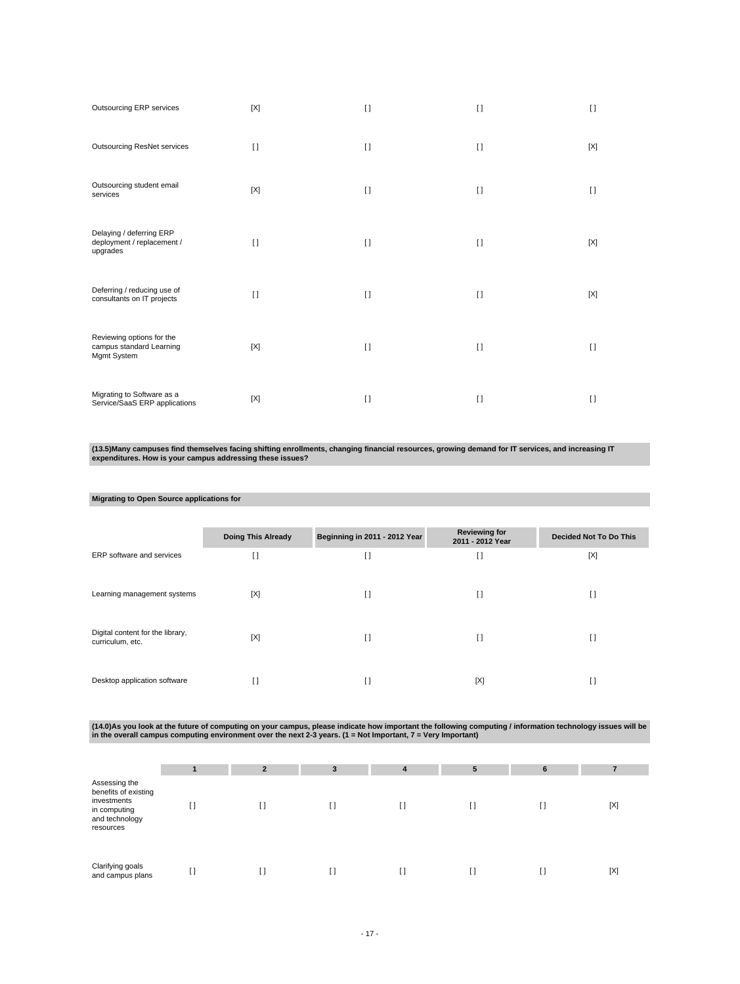| Outsourcing ERP services                                             | [X]         | $\Box$   | $\Box$       | $\Box$  |
|----------------------------------------------------------------------|-------------|----------|--------------|---------|
| <b>Outsourcing ResNet services</b>                                   | $\Box$      | $[ \ ]$  | $[ \ ]$      | [X]     |
| Outsourcing student email<br>services                                | $[{\sf X}]$ | $[ \ ]$  | $[ \ ]$      | $[ \ ]$ |
| Delaying / deferring ERP<br>deployment / replacement /<br>upgrades   | $\Box$      | $\Box$   | $\Box$       | [X]     |
| Deferring / reducing use of<br>consultants on IT projects            | $\Box$      | $\Box$   | $\Box$       | [X]     |
| Reviewing options for the<br>campus standard Learning<br>Mgmt System | [X]         | $[ \ ]$  | $\mathbf{I}$ | $\Box$  |
| Migrating to Software as a<br>Service/SaaS ERP applications          | [X]         | $\lceil$ | $\mathbf{I}$ | $[ \ ]$ |

**(13.5)Many campuses find themselves facing shifting enrollments, changing financial resources, growing demand for IT services, and increasing IT expenditures. How is your campus addressing these issues?**

#### **Migrating to Open Source applications for**

|                                                      | <b>Doing This Already</b> | Beginning in 2011 - 2012 Year | <b>Reviewing for</b><br>2011 - 2012 Year | <b>Decided Not To Do This</b> |
|------------------------------------------------------|---------------------------|-------------------------------|------------------------------------------|-------------------------------|
| ERP software and services                            | H                         | I)                            | H                                        | [X]                           |
| Learning management systems                          | [X]                       | $\Box$                        | I)                                       | H                             |
| Digital content for the library,<br>curriculum, etc. | [X]                       | $\Box$                        | H                                        | H                             |
| Desktop application software                         | I)                        | I)                            | [X]                                      | H                             |

(14.0)As you look at the future of computing on your campus, please indicate how important the following computing / information technology issues will be<br>in the overall campus computing environment over the next 2-3 years

|                                                                                                     |    | $\mathbf{2}$ | 3  | 4  | 5 | 6  |             |
|-----------------------------------------------------------------------------------------------------|----|--------------|----|----|---|----|-------------|
| Assessing the<br>benefits of existing<br>investments<br>in computing<br>and technology<br>resources | ы  | []           | I) | IJ |   | I) | $[{\sf X}]$ |
| Clarifying goals<br>and campus plans                                                                | I) | $\mathbf{I}$ | H  |    |   | I) | $[{\sf X}]$ |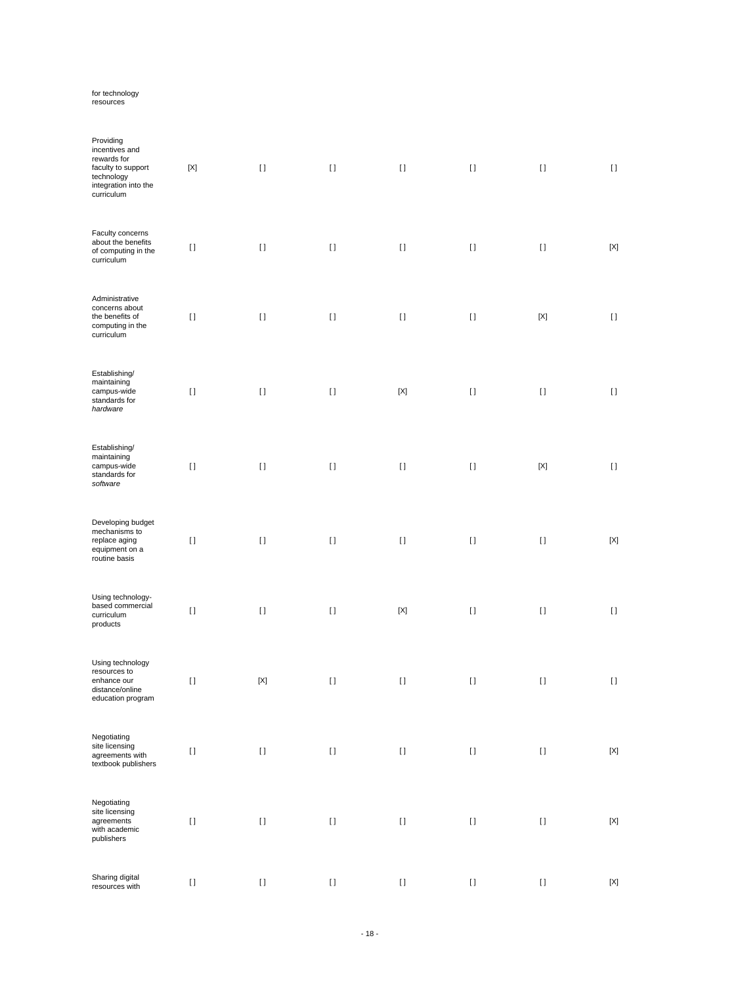# for technology resources

| Providing<br>incentives and<br>rewards for<br>faculty to support<br>technology<br>integration into the<br>curriculum | $[{\sf X}]$ | $[ \ ]$     | $[ \ ]$  | $[ \ ]$     |          | $[ \; ]$    | $[ \ ]$     |
|----------------------------------------------------------------------------------------------------------------------|-------------|-------------|----------|-------------|----------|-------------|-------------|
| Faculty concerns<br>about the benefits<br>of computing in the<br>curriculum                                          | $[ \; ]$    | $[ \ ]$     | $[ \; ]$ | $[ \; ]$    | $[ \ ]$  | $[ \ ]$     | $[{\sf X}]$ |
| Administrative<br>concerns about<br>the benefits of<br>computing in the<br>curriculum                                | $[ \; ]$    | $[ \ ]$     | $[ \ ]$  | $[ \; ]$    | $[ \; ]$ | $[{\sf X}]$ | $[ \ ]$     |
| Establishing/<br>maintaining<br>campus-wide<br>standards for<br>hardware                                             | $[ \; ]$    | $[ \ ]$     | $[ \ ]$  | $[{\sf X}]$ | $[ \; ]$ | $[ \; ]$    | $[ \ ]$     |
| Establishing/<br>maintaining<br>campus-wide<br>standards for<br>software                                             | $[ \; ]$    | $[ \ ]$     | $[ \ ]$  | $[ \; ]$    | $[ \; ]$ | $[{\sf X}]$ | $[ \ ]$     |
| Developing budget<br>mechanisms to<br>replace aging<br>equipment on a<br>routine basis                               | $[ \; ]$    | $[ \ ]$     | $[ \ ]$  | $[ \; ]$    | $[ \; ]$ | $[ \; ]$    | $[{\sf X}]$ |
| Using technology-<br>based commercial<br>curriculum<br>products                                                      | $[ \ ]$     | $[ \; ]$    | $[ \; ]$ | $[{\sf X}]$ | $[ \; ]$ | $[ \ ]$     | $[ \ ]$     |
| Using technology<br>resources to<br>enhance our<br>distance/online<br>education program                              | $[ \; ]$    | $[{\sf X}]$ | $[ \; ]$ | $[ \; ]$    | $[ \ ]$  | $[ \; ]$    | $[ \ ]$     |
| Negotiating<br>site licensing<br>agreements with<br>textbook publishers                                              | $[ \; ]$    | $[ \; ]$    | $[ \; ]$ | $[ \; ]$    | $[ \, ]$ | $[ \ ]$     | $[{\sf X}]$ |
| Negotiating<br>site licensing<br>agreements<br>with academic<br>publishers                                           | $[ \; ]$    | $[ \ ]$     | $[ \; ]$ | $[ \; ]$    | $[ \; ]$ | $[ \; ]$    | $[{\sf X}]$ |
| Sharing digital<br>resources with                                                                                    | $[ \ ]$     | $[ \; ]$    | $[ \ ]$  | $[ \ ]$     | $[ \ ]$  | $\rm I$ l   | $[{\sf X}]$ |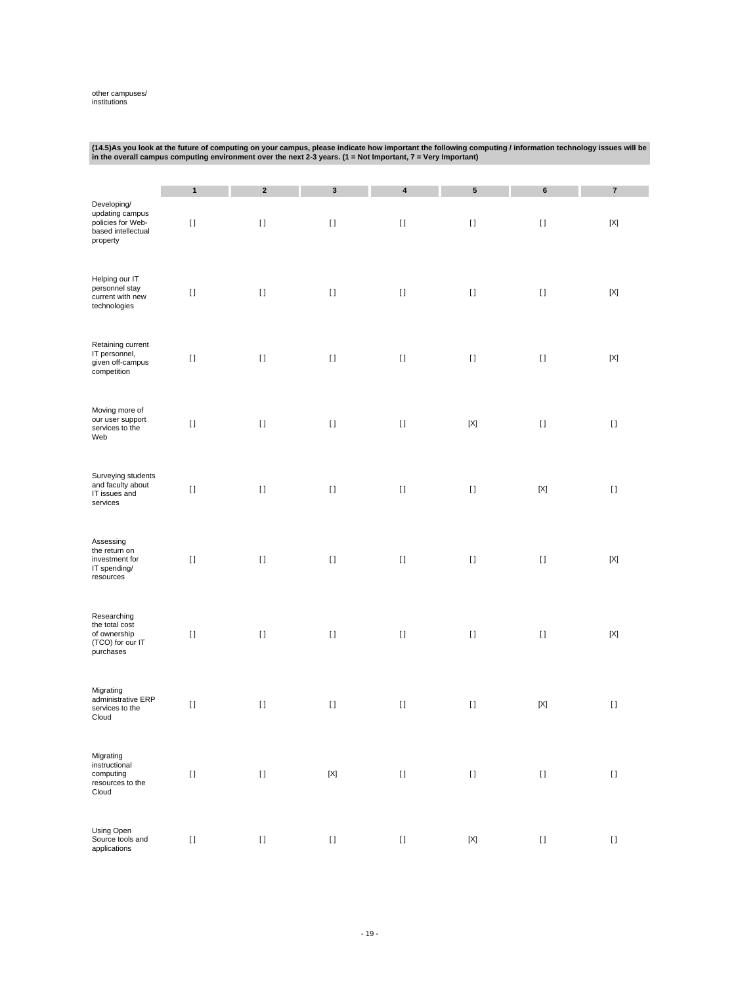# other campuses/ institutions

|                                                                                       | $\cdot$<br>in the overall campus computing environment over the next 2-3 years. (1 = Not Important, $7$ = Very Important) |                                                                                                                                                                                                       |                           |           |                                                                                                                                                                                                                                                    |             |                                                                                                                                                                                                       |  |
|---------------------------------------------------------------------------------------|---------------------------------------------------------------------------------------------------------------------------|-------------------------------------------------------------------------------------------------------------------------------------------------------------------------------------------------------|---------------------------|-----------|----------------------------------------------------------------------------------------------------------------------------------------------------------------------------------------------------------------------------------------------------|-------------|-------------------------------------------------------------------------------------------------------------------------------------------------------------------------------------------------------|--|
|                                                                                       | 1                                                                                                                         | $\mathbf 2$                                                                                                                                                                                           | $\mathbf 3$               | $\pmb{4}$ | ${\bf 5}$                                                                                                                                                                                                                                          | 6           | $\pmb{7}$                                                                                                                                                                                             |  |
| Developing/<br>updating campus<br>policies for Web-<br>based intellectual<br>property | $[ \; ]$                                                                                                                  | $[ \; ]$                                                                                                                                                                                              | $[ \ ]$                   | $[ \; ]$  | $[] \centering \includegraphics[width=0.47\textwidth]{images/TrDiS/N-Architecture.png} \caption{The 3D (top) and 4D (bottom) are used for the 3D (bottom) and 3D (bottom).} \label{TrDiS/N-Architecture}$                                          | $[ \ ]$     | $[{\sf X}]$                                                                                                                                                                                           |  |
| Helping our IT<br>personnel stay<br>current with new<br>technologies                  | $[ \; ]$                                                                                                                  | $\mathop{\rm I}\nolimits$                                                                                                                                                                             | $[ \; ]$                  | $[ \; ]$  | $[ \; ]$                                                                                                                                                                                                                                           | $[ \; ]$    | $[{\sf X}]$                                                                                                                                                                                           |  |
| Retaining current<br>IT personnel,<br>given off-campus<br>competition                 | $[ \; ]$                                                                                                                  | $\rm II$                                                                                                                                                                                              | $[ \ ]$                   | $[ \ ]$   | $[ \; ]$                                                                                                                                                                                                                                           | $[ \; ]$    | $[{\sf X}]$                                                                                                                                                                                           |  |
| Moving more of<br>our user support<br>services to the<br>Web                          | $[ \ ]$                                                                                                                   | $[ \; ]$                                                                                                                                                                                              | $[ \; ]$                  | $[ \; ]$  | $[{\sf X}]$                                                                                                                                                                                                                                        | $[ \ ]$     | $[ \ ]$                                                                                                                                                                                               |  |
| Surveying students<br>and faculty about<br>IT issues and<br>services                  | $[ \ ]$                                                                                                                   | $[ \, ]$                                                                                                                                                                                              | $[ \; ]$                  | $[ \ ]$   | $[ \ ]$                                                                                                                                                                                                                                            | $[{\sf X}]$ | $[ \ ]$                                                                                                                                                                                               |  |
| Assessing<br>the return on<br>investment for<br>IT spending/<br>resources             | $[ \; ]$                                                                                                                  | $[ \; ]$                                                                                                                                                                                              | $[ \ ]$                   | $[ \; ]$  | $[ \; ]$                                                                                                                                                                                                                                           | $[ \; ]$    | $[{\sf X}]$                                                                                                                                                                                           |  |
| Researching<br>the total cost<br>of ownership<br>(TCO) for our IT<br>purchases        | $[ \; ]$                                                                                                                  | $[ \; ]$                                                                                                                                                                                              | $[ \ ]$                   | $[ \; ]$  | $[ \; ]$                                                                                                                                                                                                                                           | $[ \; ]$    | $[{\sf X}]$                                                                                                                                                                                           |  |
| Migrating<br>administrative ERP<br>services to the<br>Cloud                           | $[ \ ]$                                                                                                                   | $[] \centering \includegraphics[width=0.47\textwidth]{images/TrDiS-Architecture.png} \caption{The 3D (top) and 4D (bottom) are used for the 3D (bottom) and 3D (bottom).} \label{TrDiS-Architecture}$ | $[ \; ]$                  | $[ \: ]$  | $[] \centering \includegraphics[width=0.47\textwidth]{images/TrDiS-Architecture.png} \caption{The 3D (top) and 4D (bottom) are used for the 3D (bottom) and 3D (bottom) are used for the 3D (bottom) and 3D (bottom).} \label{TrDiS-Architecture}$ | $[{\sf X}]$ | $[] \centering \includegraphics[width=0.47\textwidth]{images/TrDiS-Architecture.png} \caption{The 3D (top) and 4D (bottom) are used for the 3D (bottom) and 3D (bottom).} \label{TrDiS-Architecture}$ |  |
| Migrating<br>instructional<br>computing<br>resources to the<br>Cloud                  | $[ \; ]$                                                                                                                  | $[ \; ]$                                                                                                                                                                                              | $\left[ \text{X} \right]$ | $[ \ ]$   | $[ \; ]$                                                                                                                                                                                                                                           | $[ \; ]$    | $[ \ ]$                                                                                                                                                                                               |  |
| Using Open<br>Source tools and<br>applications                                        | $[ \ ]$                                                                                                                   | $\mathop{\rm I}\nolimits$                                                                                                                                                                             | $[ \; ]$                  | $[ \: ]$  | $[{\sf X}]$                                                                                                                                                                                                                                        | $[ \, ]$    | $[ \ ]$                                                                                                                                                                                               |  |

**(14.5)As you look at the future of computing on your campus, please indicate how important the following computing / information technology issues will be**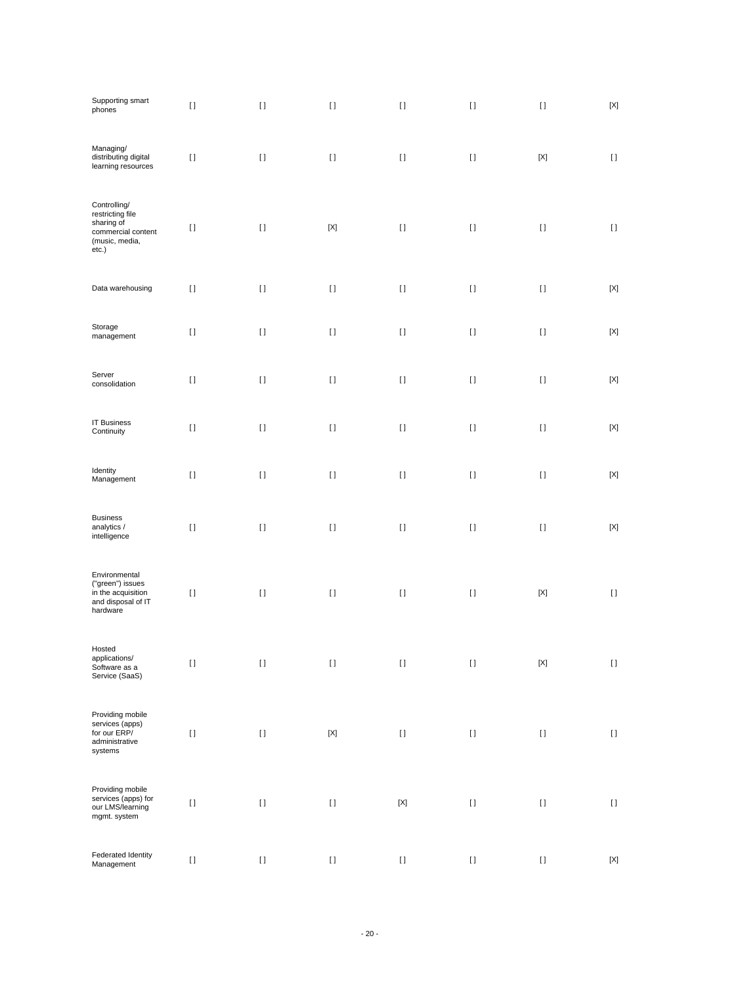| Supporting smart<br>phones                                                                      | $[ \ ]$  | $[ \ ]$  | $[ \ ]$     | $[ \; ]$    | $[ \; ]$                                                                                                                                                                                                  | $[ \ ]$                                                                                                                                                                                                   | $\left[ \text{X} \right]$ |
|-------------------------------------------------------------------------------------------------|----------|----------|-------------|-------------|-----------------------------------------------------------------------------------------------------------------------------------------------------------------------------------------------------------|-----------------------------------------------------------------------------------------------------------------------------------------------------------------------------------------------------------|---------------------------|
| Managing/<br>distributing digital<br>learning resources                                         | $[ \ ]$  | $[ \; ]$ | $[ \ ]$     | $[ \; ]$    | $[ \ ]$                                                                                                                                                                                                   | $[{\sf X}]$                                                                                                                                                                                               | $[ \ ]$                   |
| Controlling/<br>restricting file<br>sharing of<br>commercial content<br>(music, media,<br>etc.) | $[ \; ]$ | $[ \; ]$ | $[{\sf X}]$ | $[ \ ]$     | $[ \ ]$                                                                                                                                                                                                   | $[ \ ]$                                                                                                                                                                                                   | $\left[ \ \right]$        |
| Data warehousing                                                                                | $[ \ ]$  | $[ \ ]$  | $[ \; ]$    | $[ \; ]$    | $[ \ ]$                                                                                                                                                                                                   | $[ \ ]$                                                                                                                                                                                                   | $[{\sf X}]$               |
| Storage<br>management                                                                           | $[ \; ]$ | $[ \; ]$ | $[ \; ]$    | $[ \; ]$    | $[ \; ]$                                                                                                                                                                                                  | $[ \ ]$                                                                                                                                                                                                   | $[{\sf X}]$               |
| Server<br>consolidation                                                                         | $[ \; ]$ | $[ \; ]$ | $[ \; ]$    | $[ \; ]$    | $[ \; ]$                                                                                                                                                                                                  | $[ \ ]$                                                                                                                                                                                                   | $[{\sf X}]$               |
| <b>IT Business</b><br>Continuity                                                                | $[ \ ]$  | $[ \ ]$  | $[ \; ]$    | $[ \; ]$    | $[ \ ]$                                                                                                                                                                                                   | $[ \ ]$                                                                                                                                                                                                   | $[{\sf X}]$               |
| Identity<br>Management                                                                          | $[ \ ]$  | $[ \ ]$  | $[ \ ]$     | $[ \ ]$     | $[ \ ]$                                                                                                                                                                                                   | $[ \ ]$                                                                                                                                                                                                   | $[{\sf X}]$               |
| <b>Business</b><br>analytics /<br>intelligence                                                  | $[ \; ]$ | $[ \ ]$  | $[ \; ]$    | $[ \; ]$    | $[ \ ]$                                                                                                                                                                                                   | $[ \; ]$                                                                                                                                                                                                  | $\left[ \text{X} \right]$ |
| Environmental<br>("green") issues<br>in the acquisition<br>and disposal of IT<br>hardware       | $[ \; ]$ | $[ \; ]$ | $[ \ ]$     | $[ \; ]$    | $[ \; ]$                                                                                                                                                                                                  | $[{\sf X}]$                                                                                                                                                                                               | $[ \ ]$                   |
| Hosted<br>applications/<br>Software as a<br>Service (SaaS)                                      | $[ \ ]$  | $[ \ ]$  | $[ \ ]$     | $[ \ ]$     | $[] \centering \includegraphics[width=0.47\textwidth]{images/TrDiS/N-Architecture.png} \caption{The 3D (top) and 4D (bottom) are used for the 3D (bottom) and 3D (bottom).} \label{TrDiS/N-Architecture}$ | $[{\sf X}]$                                                                                                                                                                                               | $\left[ \ \right]$        |
| Providing mobile<br>services (apps)<br>for our ERP/<br>administrative<br>systems                | $[ \ ]$  | $[ \ ]$  | $[{\sf X}]$ | $[ \: ]$    | $[ \: ]$                                                                                                                                                                                                  | $[ \, ]$                                                                                                                                                                                                  | $\left[ \ \right]$        |
| Providing mobile<br>services (apps) for<br>our LMS/learning<br>mgmt. system                     | $[ \ ]$  | $[ \ ]$  | $[ \ ]$     | $[{\sf X}]$ | $[] \centering \includegraphics[width=0.47\textwidth]{images/TrDiS/N-Architecture.png} \caption{The 3D (top) and 4D (bottom) are used for the 3D (bottom) and 3D (bottom).} \label{TrDiS/N-Architecture}$ | $[] \centering \includegraphics[width=0.47\textwidth]{images/TrDiS/N-Architecture.png} \caption{The 3D (top) and 4D (bottom) are used for the 3D (bottom) and 3D (bottom).} \label{TrDiS/N-Architecture}$ | $[ \: ]$                  |
| Federated Identity<br>Management                                                                | $[ \ ]$  | $[ \ ]$  | $[ \ ]$     | $[ \: ]$    | $[] \centering \includegraphics[width=0.47\textwidth]{images/TrDiS/N-Architecture.png} \caption{The 3D (top) and 4D (bottom) are used for the 3D (bottom) and 3D (bottom).} \label{TrDiS/N-Architecture}$ | $[ \, ]$                                                                                                                                                                                                  | $\left[ \text{X} \right]$ |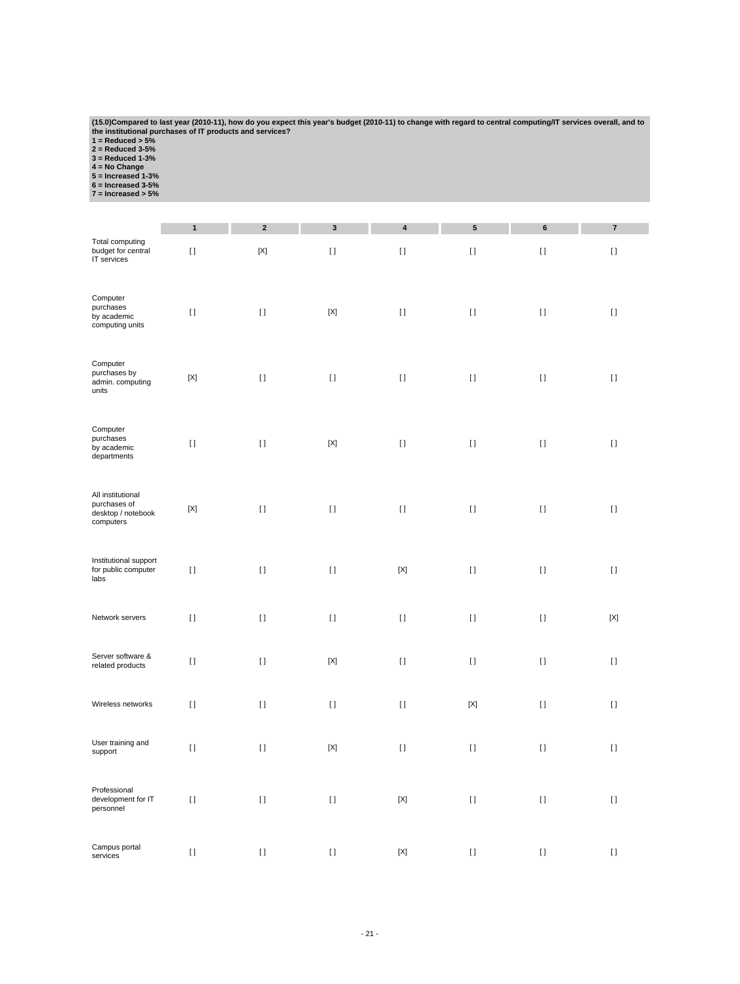(15.0)Compared to last year (2010-11), how do you expect this year's budget (2010-11) to change with regard to central computing/IT services overall, and to<br>the institutional purchases of IT products and services?<br>1 = Redu

|                                                                      | $\mathbf{1}$ | $\mathbf 2$  | 3           | 4           | 5           | 6        | $\bf 7$     |
|----------------------------------------------------------------------|--------------|--------------|-------------|-------------|-------------|----------|-------------|
| Total computing<br>budget for central<br>IT services                 | $[ \; ]$     | $[{\sf X}]$  | $[ \ ]$     | $[ \ ]$     | $[ \ ]$     | $[ \ ]$  | $[ \; ]$    |
| Computer<br>purchases<br>by academic<br>computing units              | $\lceil$     | $[ \ ]$      | $[{\sf X}]$ | $[ \; ]$    | $[ \; ]$    | $[ \; ]$ | $[ \ ]$     |
| Computer<br>purchases by<br>admin. computing<br>units                | [X]          | $[ \ ]$      | $[ \ ]$     | $[ \ ]$     | $[ \ ]$     | $[ \, ]$ | $[ \ ]$     |
| Computer<br>purchases<br>by academic<br>departments                  | $\lceil$     | $[ \; ]$     | $[{\sf X}]$ | $\lceil$    | $[ \ ]$     | $[ \; ]$ | $[ \ ]$     |
| All institutional<br>purchases of<br>desktop / notebook<br>computers | [X]          | $[ \ ]$      | $[ \ ]$     | $[ \ ]$     | $[ \ ]$     | $[ \ ]$  | $[ \ ]$     |
| Institutional support<br>for public computer<br>labs                 | $\lceil$     | $[ \ ]$      | $[ \; ]$    | $[{\sf X}]$ | $[ \ ]$     | $[ \ ]$  | $\lceil$    |
| Network servers                                                      | $\lceil$     | $[ \ ]$      | $[ \ ]$     | $[ \ ]$     | $[ \ ]$     | $[ \; ]$ | $[{\sf X}]$ |
| Server software &<br>related products                                | $[ \ ]$      | $[ \ ]$      | $[{\sf X}]$ | $[ \ ]$     | $[ \ ]$     | $[ \ ]$  | $[ \ ]$     |
| Wireless networks                                                    | $[ \ ]$      | $\mathbf{I}$ | $[ \ ]$     | $[ \ ]$     | $[{\sf X}]$ | $[ \ ]$  | $[ \ ]$     |
| User training and<br>support                                         | $[ \: ]$     | $[ \ ]$      | $[{\sf X}]$ | $[ \; ]$    | $[ \; ]$    | $[ \ ]$  | $[ \; ]$    |
| Professional<br>development for IT<br>personnel                      | $[ \ ]$      | $[ \ ]$      | $[ \ ]$     | $[{\sf X}]$ | $[ \; ]$    | $[ \: ]$ | $[ \; ]$    |
| Campus portal<br>services                                            | $\lceil$     | $[ \ ]$      | $[ \ ]$     | $[{\sf X}]$ | $[ \ ]$     | $[ \ ]$  | $[ \ ]$     |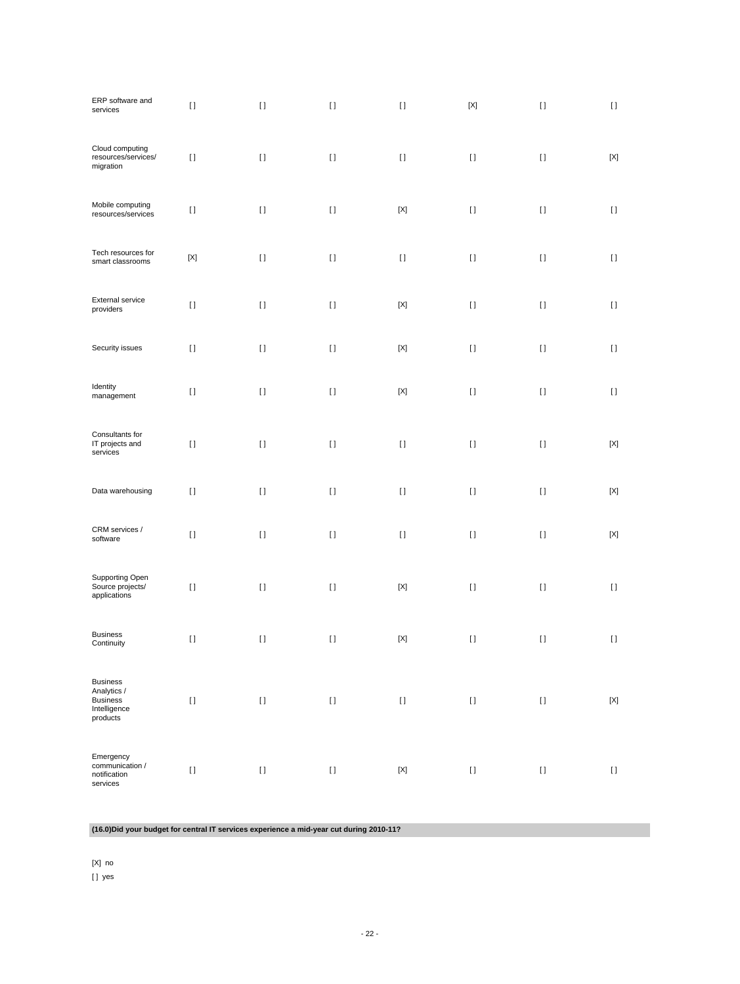| ERP software and<br>services                                           | $[ \ ]$     | $[ \, ]$                  | $[ \; ]$           | $[ \ ]$                   | $[{\sf X}]$                                                                                                                                                                                                                                        | $[ \ ]$  | $[ \; ]$                  |
|------------------------------------------------------------------------|-------------|---------------------------|--------------------|---------------------------|----------------------------------------------------------------------------------------------------------------------------------------------------------------------------------------------------------------------------------------------------|----------|---------------------------|
| Cloud computing<br>resources/services/<br>migration                    | $[ \ ]$     | $[ \; ]$                  | $[ \; ]$           | $[ \; ]$                  | $[ \; ]$                                                                                                                                                                                                                                           | $[ \ ]$  | $[{\sf X}]$               |
| Mobile computing<br>resources/services                                 | $[ \ ]$     | $[ \; ]$                  | $[ \ ]$            | $\left[ \text{X} \right]$ | $[ \; ]$                                                                                                                                                                                                                                           | $[ \ ]$  | $[ \; ]$                  |
| Tech resources for<br>smart classrooms                                 | $[{\sf X}]$ | $[ \; ]$                  | $[ \ ]$            | $[ \; ]$                  | $[ \; ]$                                                                                                                                                                                                                                           | $[ \ ]$  | $[ \; ]$                  |
| External service<br>providers                                          | $[ \ ]$     | $[ \; ]$                  | $[ \ ]$            | $[{\sf X}]$               | $[ \: ]$                                                                                                                                                                                                                                           | $[ \; ]$ | $[ \ ]$                   |
| Security issues                                                        | $[ \ ]$     | $[ \ ]$                   | $[ \ ]$            | $[{\sf X}]$               | $[ \ ]$                                                                                                                                                                                                                                            | $[ \ ]$  | $[ \ ]$                   |
| Identity<br>management                                                 | $[ \: ]$    | $[ \; ]$                  | $[ \ ]$            | $[{\sf X}]$               | $[ \; ]$                                                                                                                                                                                                                                           | $[ \ ]$  | $[ \ ]$                   |
| Consultants for<br>IT projects and<br>services                         | $[ \: ]$    | $[ \; ]$                  | $[ \ ]$            | $[ \ ]$                   | $[ \ ]$                                                                                                                                                                                                                                            | $[ \ ]$  | [X]                       |
| Data warehousing                                                       | $[ \ ]$     | $[ \, ]$                  | $[ \; ]$           | $[ \: ]$                  | $[ \; ]$                                                                                                                                                                                                                                           | $[ \; ]$ | $[{\sf X}]$               |
| CRM services /<br>software                                             | $[ \ ]$     | $[ \ ]$                   | $[ \ ]$            | $[ \ ]$                   | $[ \ ]$                                                                                                                                                                                                                                            | $[ \ ]$  | $[{\sf X}]$               |
| Supporting Open<br>Source projects/<br>applications                    | $[ \; ]$    | $[ \ ]$                   | $[ \ ]$            | $[{\sf X}]$               | $[ \; ]$                                                                                                                                                                                                                                           | $[ \ ]$  | $[ \ ]$                   |
| <b>Business</b><br>Continuity                                          | $[ \ ]$     | $[ \ ]$                   | $[ \ ]$            | $[{\sf X}]$               | $[ \ ]$                                                                                                                                                                                                                                            | $[ \ ]$  | H                         |
| <b>Business</b><br>Analytics /<br>Business<br>Intelligence<br>products | $[ \ ]$     | $[ \ ]$                   | $\left[ \ \right]$ | $[ \ ]$                   |                                                                                                                                                                                                                                                    | $[ \; ]$ | $\left[ \text{X} \right]$ |
| Emergency<br>communication /<br>notification<br>services               | $[ \ ]$     | $\mathop{\rm I}\nolimits$ | $[ \: ]$           | $\left[ \text{X} \right]$ | $[] \centering \includegraphics[width=0.47\textwidth]{images/TrDiS-Architecture.png} \caption{The 3D (top) and 4D (bottom) are used for the 3D (bottom) and 3D (bottom) are used for the 3D (bottom) and 3D (bottom).} \label{TrDiS-Architecture}$ | $[ \ ]$  | $[ \ ]$                   |

**(16.0)Did your budget for central IT services experience a mid-year cut during 2010-11?**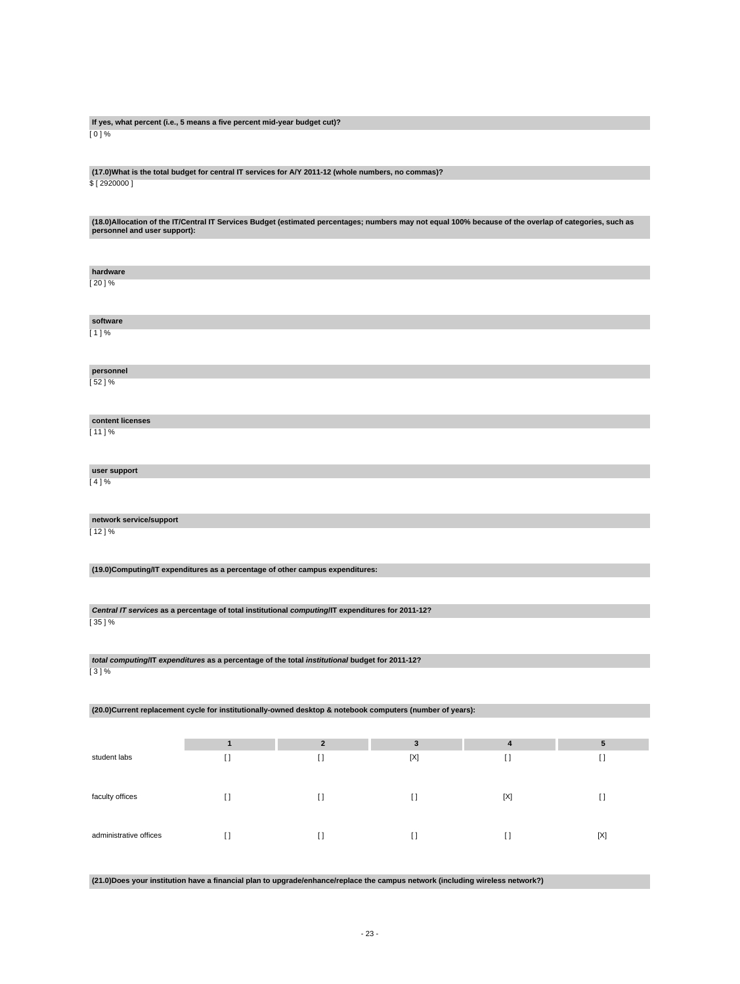#### **If yes, what percent (i.e., 5 means a five percent mid-year budget cut)?**  $[0]$ %

#### **(17.0)What is the total budget for central IT services for A/Y 2011-12 (whole numbers, no commas)?** \$ [ 2920000 ]

**(18.0)Allocation of the IT/Central IT Services Budget (estimated percentages; numbers may not equal 100% because of the overlap of categories, such as personnel and user support):**

| hardware                |                                                                                                   |             |                                                                                                           |             |             |
|-------------------------|---------------------------------------------------------------------------------------------------|-------------|-----------------------------------------------------------------------------------------------------------|-------------|-------------|
| [20]%                   |                                                                                                   |             |                                                                                                           |             |             |
| software                |                                                                                                   |             |                                                                                                           |             |             |
| [1]%                    |                                                                                                   |             |                                                                                                           |             |             |
| personnel               |                                                                                                   |             |                                                                                                           |             |             |
| [52]%                   |                                                                                                   |             |                                                                                                           |             |             |
| content licenses        |                                                                                                   |             |                                                                                                           |             |             |
| $[11]$ %                |                                                                                                   |             |                                                                                                           |             |             |
| user support            |                                                                                                   |             |                                                                                                           |             |             |
| [4]%                    |                                                                                                   |             |                                                                                                           |             |             |
| network service/support |                                                                                                   |             |                                                                                                           |             |             |
| [12]%                   |                                                                                                   |             |                                                                                                           |             |             |
|                         | (19.0)Computing/IT expenditures as a percentage of other campus expenditures:                     |             |                                                                                                           |             |             |
|                         |                                                                                                   |             |                                                                                                           |             |             |
|                         | Central IT services as a percentage of total institutional computing/IT expenditures for 2011-12? |             |                                                                                                           |             |             |
| [35]%                   |                                                                                                   |             |                                                                                                           |             |             |
|                         | total computing/IT expenditures as a percentage of the total institutional budget for 2011-12?    |             |                                                                                                           |             |             |
| [3]%                    |                                                                                                   |             |                                                                                                           |             |             |
|                         |                                                                                                   |             | (20.0)Current replacement cycle for institutionally-owned desktop & notebook computers (number of years): |             |             |
|                         |                                                                                                   |             |                                                                                                           |             |             |
|                         | $\mathbf{1}$                                                                                      | $\mathbf 2$ | 3                                                                                                         | 4           | 5           |
| student labs            | $[ \ ]$                                                                                           | $[ \; ]$    | $[{\sf X}]$                                                                                               | $[ \; ]$    | $[ \; ]$    |
|                         |                                                                                                   |             |                                                                                                           |             |             |
| faculty offices         | $[ \; ]$                                                                                          | $[ \ ]$     | $[ \ ]$                                                                                                   | $[{\sf X}]$ | $[ \; ]$    |
|                         |                                                                                                   |             |                                                                                                           |             |             |
| administrative offices  | $[ \; ]$                                                                                          | $[ \ ]$     | $[ \; ]$                                                                                                  | $[ \; ]$    | $[{\sf X}]$ |

**(21.0)Does your institution have a financial plan to upgrade/enhance/replace the campus network (including wireless network?)**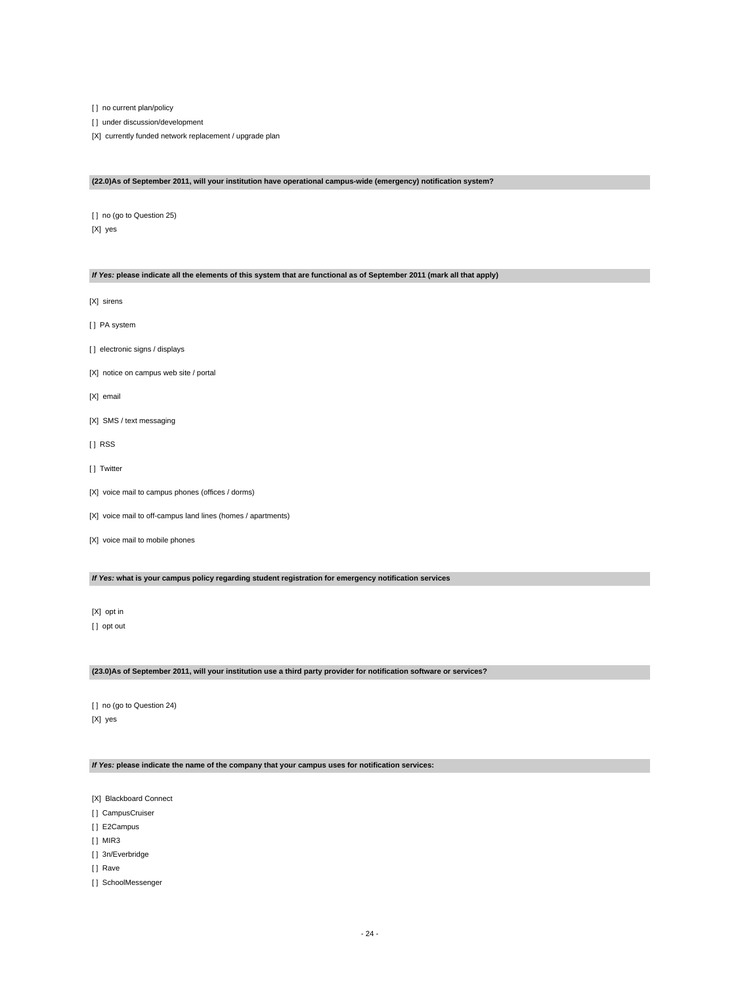[ ] no current plan/policy

[] under discussion/development

[X] currently funded network replacement / upgrade plan

#### **(22.0)As of September 2011, will your institution have operational campus-wide (emergency) notification system?**

[] no (go to Question 25) [X] yes

#### **If Yes: please indicate all the elements of this system that are functional as of September 2011 (mark all that apply)**

[X] sirens

- [ ] PA system
- [] electronic signs / displays
- [X] notice on campus web site / portal
- [X] email
- [X] SMS / text messaging
- [ ] RSS
- [ ] Twitter
- [X] voice mail to campus phones (offices / dorms)
- [X] voice mail to off-campus land lines (homes / apartments)
- [X] voice mail to mobile phones

**If Yes: what is your campus policy regarding student registration for emergency notification services**

[X] opt in [] opt out

#### **(23.0)As of September 2011, will your institution use a third party provider for notification software or services?**

[ ] no (go to Question 24) [X] yes

**If Yes: please indicate the name of the company that your campus uses for notification services:**

[X] Blackboard Connect

- [] CampusCruiser
- [ ] E2Campus
- [ ] MIR3
- [] 3n/Everbridge
- [] Rave
- [] SchoolMessenger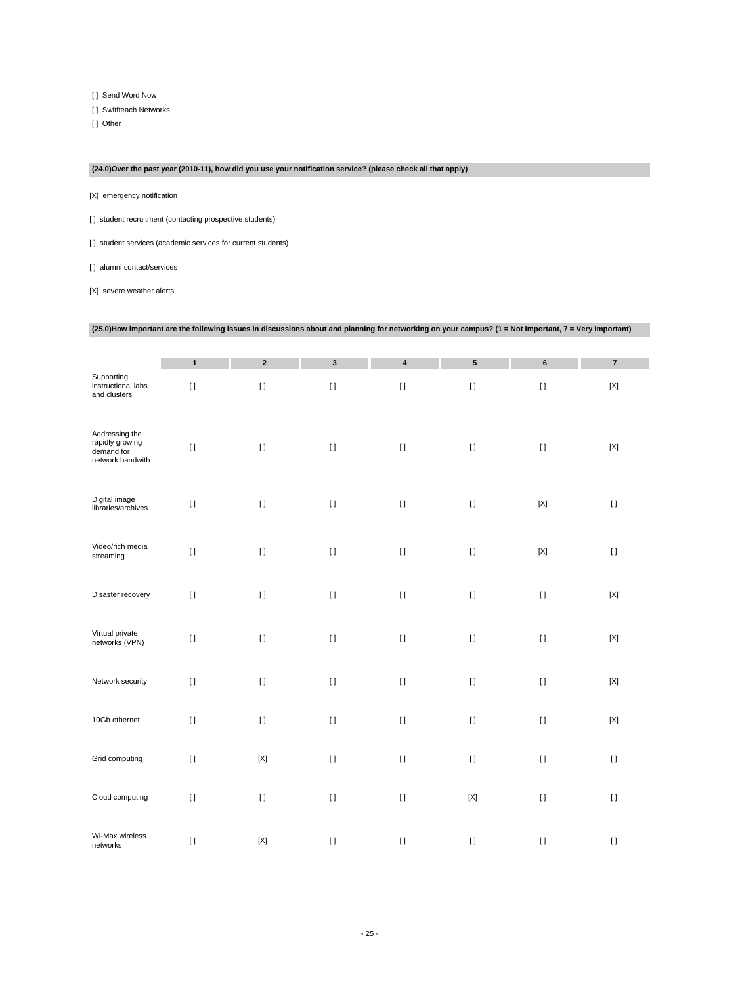[ ] Send Word Now

[ ] Switfteach Networks

[ ] Other

# **(24.0)Over the past year (2010-11), how did you use your notification service? (please check all that apply)**

[X] emergency notification

[] student recruitment (contacting prospective students)

[] student services (academic services for current students)

[] alumni contact/services

[X] severe weather alerts

|                                                                     | <b>Examples in the range of the renowing</b> | $\frac{1}{2}$ is an about any planning for networking on your campus: (1 = Not important, 1 = Very important) |              |           |                 |             |             |
|---------------------------------------------------------------------|----------------------------------------------|---------------------------------------------------------------------------------------------------------------|--------------|-----------|-----------------|-------------|-------------|
|                                                                     |                                              |                                                                                                               |              |           |                 |             |             |
|                                                                     | $\mathbf{1}$                                 | $\mathbf 2$                                                                                                   | $\mathbf{3}$ | $\pmb{4}$ | $5\phantom{.0}$ | $\bf 6$     | $\bf 7$     |
| Supporting<br>instructional labs<br>and clusters                    | $[ \ ]$                                      | $[ \ ]$                                                                                                       | $[ \ ]$      | $[ \; ]$  | $[ \; ]$        | $[ \ ]$     | $[{\sf X}]$ |
| Addressing the<br>rapidly growing<br>demand for<br>network bandwith | $[ \; ]$                                     | $\mathop{\rm I}\nolimits$                                                                                     | $[ \ ]$      | $[ \ ]$   | $[ \ ]$         | $[ \ ]$     | $[{\sf X}]$ |
| Digital image<br>libraries/archives                                 | $[ \ ]$                                      | $[ \; ]$                                                                                                      | $[ \ ]$      | $[ \ ]$   | $\lceil$        | $[{\sf X}]$ | $[ \ ]$     |
| Video/rich media<br>streaming                                       | $[ \ ]$                                      | $[ \ ]$                                                                                                       | $[ \; ]$     | $[ \; ]$  | $[ \; ]$        | $[{\sf X}]$ | $[ \; ]$    |
| Disaster recovery                                                   | $[ \ ]$                                      | $[ \; ]$                                                                                                      | $[ \ ]$      | $[ \; ]$  | $\lceil$        | $[ \ ]$     | $[{\sf X}]$ |
| Virtual private<br>networks (VPN)                                   | $[ \; ]$                                     | $[ \ ]$                                                                                                       | $[ \ ]$      | $[ \; ]$  | $[ \; ]$        | $[ \; ]$    | $[{\sf X}]$ |
| Network security                                                    | $\lceil$                                     | $[ \ ]$                                                                                                       | $[ \ ]$      | $[ \; ]$  | $\lceil$        | $[ \ ]$     | $[{\sf X}]$ |
| 10Gb ethernet                                                       | $[ \ ]$                                      | $[ \ ]$                                                                                                       | $[ \; ]$     | $[ \; ]$  | $[ \; ]$        | $[ \; ]$    | $[{\sf X}]$ |
| Grid computing                                                      | $[ \; ]$                                     | $[{\sf X}]$                                                                                                   | $[ \; ]$     | $[ \; ]$  | $[ \; ]$        | $[ \ ]$     | $[ \; ]$    |
| Cloud computing                                                     | $[ \; ]$                                     | $[ \; ]$                                                                                                      | $[ \ ]$      | $[ \; ]$  | $[{\sf X}]$     | $[ \; ]$    | $[ \ ]$     |
| Wi-Max wireless<br>networks                                         | $[ \; ]$                                     | $[{\sf X}]$                                                                                                   | $[ \ ]$      | $[ \ ]$   | $[ \ ]$         | $[ \; ]$    | $[ \ ]$     |

### **(25.0)How important are the following issues in discussions about and planning for networking on your campus? (1 = Not Important, 7 = Very Important)**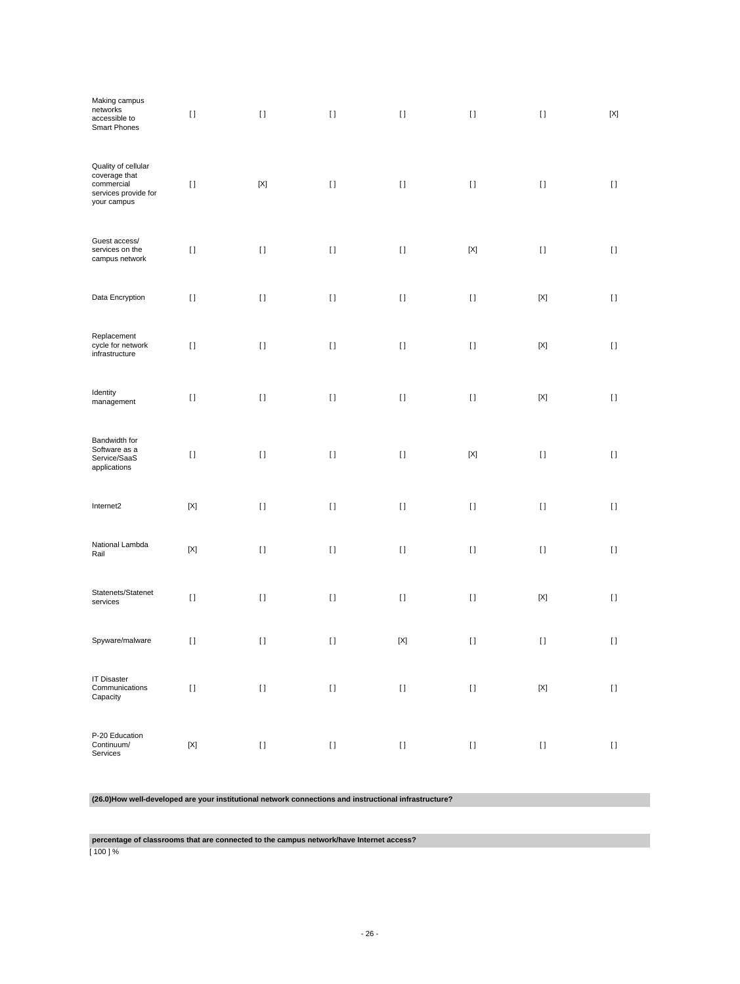| Making campus<br>networks<br>accessible to<br>Smart Phones                                | $[ \ ]$                   | $[ \ ]$                                                                                                                                                                                               | $[ \; ]$           | $[ \ ]$                                | $[ \ ]$                                | $[ \ ]$                                                                                                                                                                                                   | $[{\sf X}]$        |
|-------------------------------------------------------------------------------------------|---------------------------|-------------------------------------------------------------------------------------------------------------------------------------------------------------------------------------------------------|--------------------|----------------------------------------|----------------------------------------|-----------------------------------------------------------------------------------------------------------------------------------------------------------------------------------------------------------|--------------------|
| Quality of cellular<br>coverage that<br>commercial<br>services provide for<br>your campus | $[ \ ]$                   | $[{\sf X}]$                                                                                                                                                                                           | $[ \ ]$            | $[ \ ]$                                | $[ \ ]$                                | $[ \ ]$                                                                                                                                                                                                   | $[ \ ]$            |
| Guest access/<br>services on the<br>campus network                                        | $[ \ ]$                   | $\lceil$                                                                                                                                                                                              | $[ \ ]$            | $[ \ ]$                                | $[{\sf X}]$                            | $[ \ ]$                                                                                                                                                                                                   | $[ \; ]$           |
| Data Encryption                                                                           | $[ \ ]$                   | $[ \; ]$                                                                                                                                                                                              | $[ \; ]$           | $[ \; ]$                               | $[ \; ]$                               | $[{\sf X}]$                                                                                                                                                                                               | $[ \ ]$            |
| Replacement<br>cycle for network<br>infrastructure                                        | $[ \ ]$                   | $[ \ ]$                                                                                                                                                                                               | $[ \ ]$            | $[ \ ]$                                | $[ \ ]$                                | $[{\sf X}]$                                                                                                                                                                                               | $[ \ ]$            |
| Identity<br>$m$ anagement                                                                 | $[ \ ]$                   | $\lceil$                                                                                                                                                                                              | $[ \ ]$            | $[ \ ]$                                | $[ \ ]$                                | $[{\sf X}]$                                                                                                                                                                                               | $[ \ ]$            |
| Bandwidth for<br>Software as a<br>Service/SaaS<br>applications                            | $[ \; ]$                  | $[1]$                                                                                                                                                                                                 | $[ \; ]$           | $[ \ ]$                                | $[{\sf X}]$                            | $[ \; ]$                                                                                                                                                                                                  | $[ \ ]$            |
| Internet2                                                                                 | $\left[ \text{X} \right]$ | $[1]$                                                                                                                                                                                                 | $[ \; ]$           | $[ \; ]$                               | $[ \; ]$                               | $[ \; ]$                                                                                                                                                                                                  | $[ \ ]$            |
| National Lambda<br>Rail                                                                   | [X]                       | $\lceil$                                                                                                                                                                                              | $[ \ ]$            | $[ \ ]$                                | $[ \ ]$                                | $[ \ ]$                                                                                                                                                                                                   | H                  |
| Statenets/Statenet<br>services                                                            | $[ \ ]$                   | $[ \ ]$                                                                                                                                                                                               | $[ \; ]$           | $[ \; ]$                               | $[ \ ]$                                | $[{\sf X}]$                                                                                                                                                                                               | $[ \ ]$            |
| Spyware/malware                                                                           | $[ \ ]$                   | $[1]$                                                                                                                                                                                                 | $[ \; ]$           | $[{\sf X}]$                            | $[ \; ]$                               | $[ \; ]$                                                                                                                                                                                                  | $[ \ ]$            |
| <b>IT Disaster</b><br>Communications<br>Capacity                                          | $[ \ ]$                   | $\mathop{\rm I}\nolimits$                                                                                                                                                                             | $\left[ \ \right]$ | $\begin{array}{c} \square \end{array}$ | $\begin{array}{c} \square \end{array}$ | $\left[ \text{X} \right]$                                                                                                                                                                                 | $[ \; ]$           |
| P-20 Education<br>Continuum/<br>Services                                                  | $\left[ \text{X} \right]$ | $[] \centering \includegraphics[width=0.47\textwidth]{images/TrDiS-Architecture.png} \caption{The 3D (top) and 4D (bottom) are used for the 3D (bottom) and 3D (bottom).} \label{TrDiS-Architecture}$ | $[ \: ]$           | $[ \: ]$                               | $[ \: ]$                               | $[] \centering \includegraphics[width=0.47\textwidth]{images/TrDiS/N-Architecture.png} \caption{The 3D (top) and 4D (bottom) are used for the 3D (bottom) and 3D (bottom).} \label{TrDiS/N-Architecture}$ | $\left[ \ \right]$ |

# **(26.0)How well-developed are your institutional network connections and instructional infrastructure?**

**percentage of classrooms that are connected to the campus network/have Internet access?**

[ 100 ] %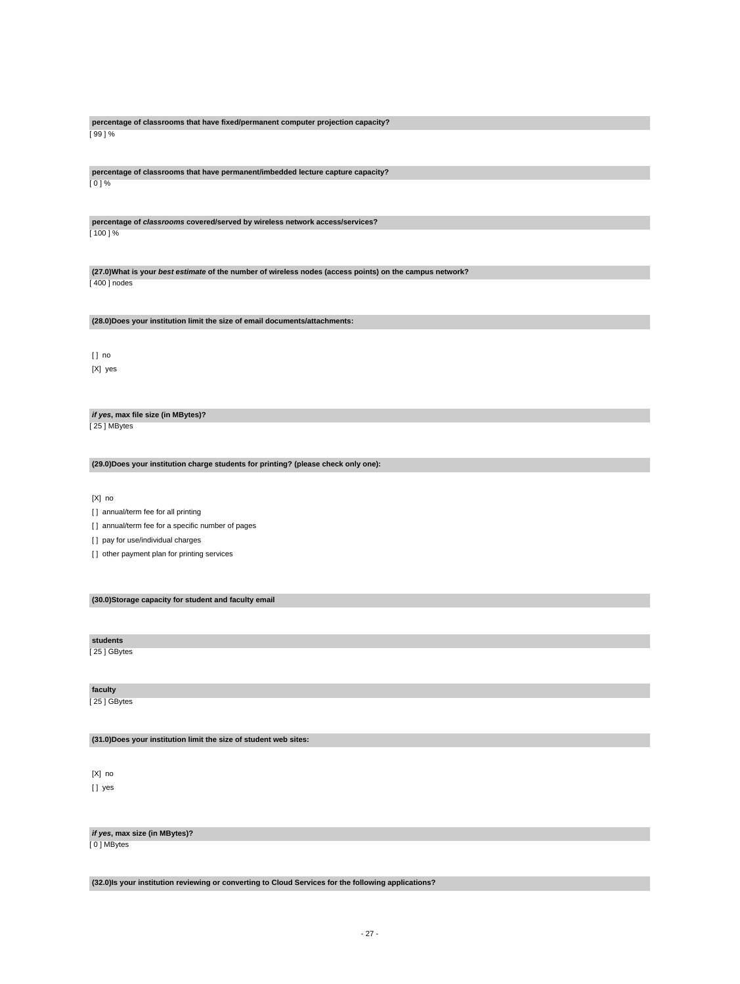**percentage of classrooms that have fixed/permanent computer projection capacity?** [ 99 ] %

**percentage of classrooms that have permanent/imbedded lecture capture capacity?** [ 0 ] %

**percentage of classrooms covered/served by wireless network access/services?** [ 100 ] %

**(27.0)What is your best estimate of the number of wireless nodes (access points) on the campus network?** [ 400 ] nodes

**(28.0)Does your institution limit the size of email documents/attachments:**

[ ] no [X] yes

**if yes, max file size (in MBytes)?** [ 25 ] MBytes

**(29.0)Does your institution charge students for printing? (please check only one):**

[X] no

[] annual/term fee for all printing

[] annual/term fee for a specific number of pages

[ ] pay for use/individual charges

[ ] other payment plan for printing services

**(30.0)Storage capacity for student and faculty email**

**students**

[ 25 ] GBytes

**faculty**

[ 25 ] GBytes

**(31.0)Does your institution limit the size of student web sites:**

[X] no [ ] yes

**if yes, max size (in MBytes)?**

[ 0 ] MBytes

**(32.0)Is your institution reviewing or converting to Cloud Services for the following applications?**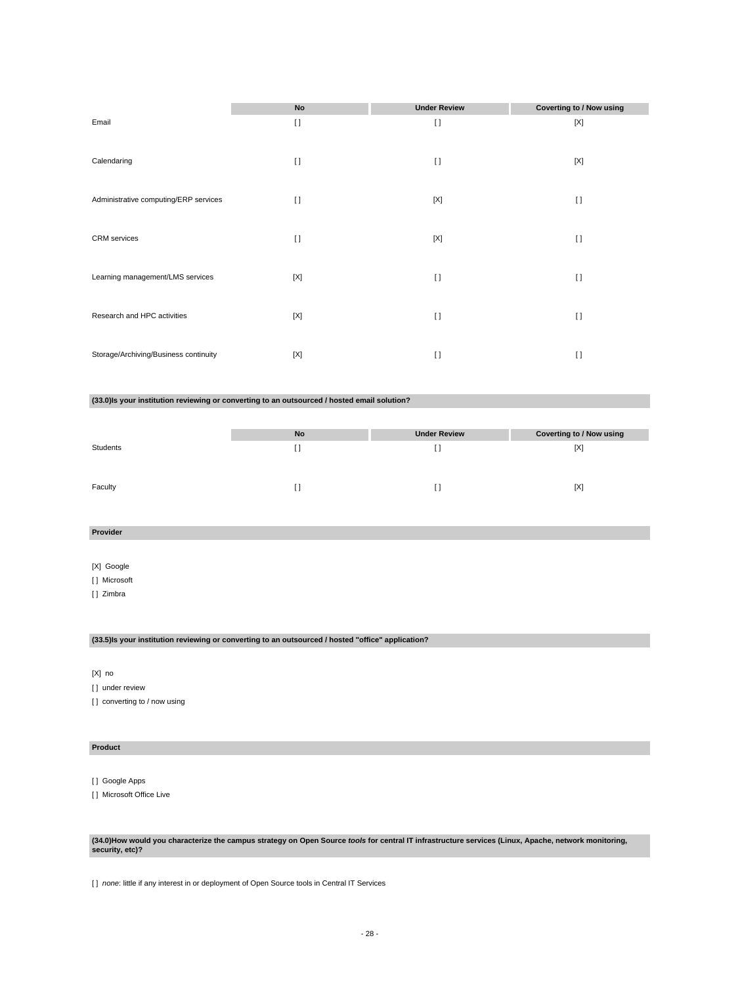|                                       | No          | <b>Under Review</b> | <b>Coverting to / Now using</b> |
|---------------------------------------|-------------|---------------------|---------------------------------|
| Email                                 | $\lceil$    | $\lceil$            | $[{\sf X}]$                     |
| Calendaring                           | $[ \ ]$     | $[ \ ]$             | [X]                             |
| Administrative computing/ERP services | $[ \ ]$     | $[{\sf X}]$         | $\mathbf{I}$                    |
| <b>CRM</b> services                   | $[ \ ]$     | $[{\sf X}]$         | $[ \ ]$                         |
| Learning management/LMS services      | [X]         | $\lceil$            | $[ \ ]$                         |
| Research and HPC activities           | $[{\sf X}]$ | $\lceil$            | $[ \ ]$                         |
| Storage/Archiving/Business continuity | [X]         | $\lceil$            | $[ \ ]$                         |

#### **(33.0)Is your institution reviewing or converting to an outsourced / hosted email solution?**

|          | No | <b>Under Review</b> | <b>Coverting to / Now using</b> |
|----------|----|---------------------|---------------------------------|
| Students |    |                     | [X]                             |
|          |    |                     |                                 |
| Faculty  |    |                     | [X]                             |

# **Provider**

[X] Google

- [ ] Microsoft
- [ ] Zimbra

# **(33.5)Is your institution reviewing or converting to an outsourced / hosted "office" application?**

[X] no

[] under review

[] converting to / now using

#### **Product**

[ ] Google Apps

[ ] Microsoft Office Live

# **(34.0)How would you characterize the campus strategy on Open Source tools for central IT infrastructure services (Linux, Apache, network monitoring, security, etc)?**

[ ] none: little if any interest in or deployment of Open Source tools in Central IT Services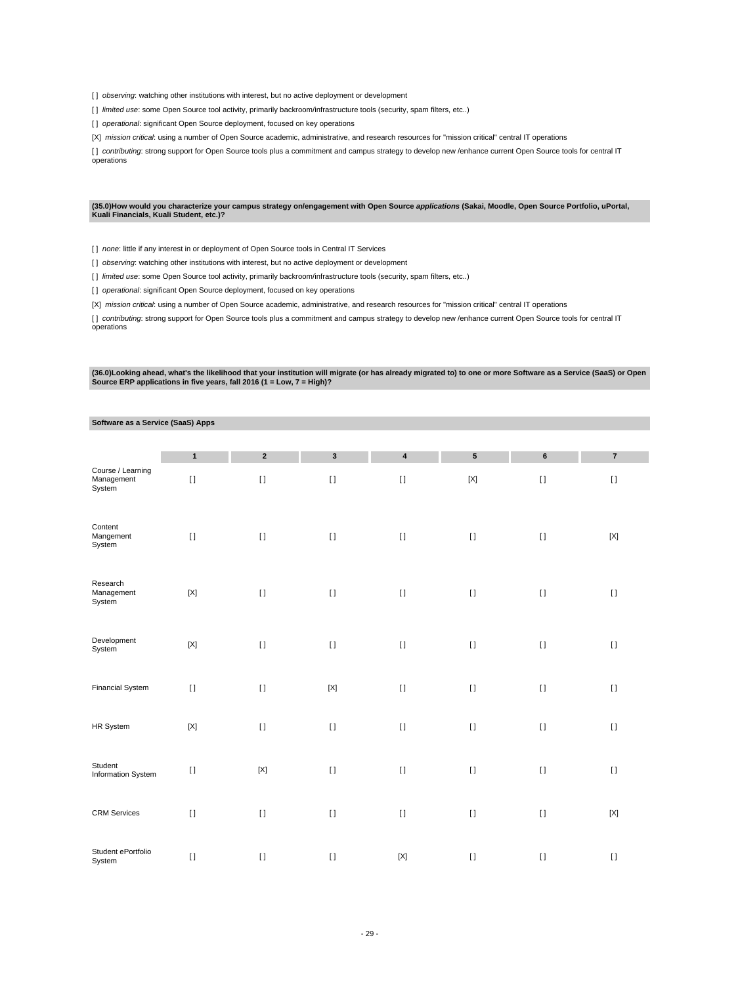[] observing: watching other institutions with interest, but no active deployment or development

[] limited use: some Open Source tool activity, primarily backroom/infrastructure tools (security, spam filters, etc..)

[] operational: significant Open Source deployment, focused on key operations

[X] mission critical: using a number of Open Source academic, administrative, and research resources for "mission critical" central IT operations

[] contributing: strong support for Open Source tools plus a commitment and campus strategy to develop new /enhance current Open Source tools for central IT operations

#### **(35.0)How would you characterize your campus strategy on/engagement with Open Source applications (Sakai, Moodle, Open Source Portfolio, uPortal, Kuali Financials, Kuali Student, etc.)?**

[ ] none: little if any interest in or deployment of Open Source tools in Central IT Services

[] observing: watching other institutions with interest, but no active deployment or development

[ ] limited use: some Open Source tool activity, primarily backroom/infrastructure tools (security, spam filters, etc..)

[] operational: significant Open Source deployment, focused on key operations

[X] mission critical: using a number of Open Source academic, administrative, and research resources for "mission critical" central IT operations

[] contributing: strong support for Open Source tools plus a commitment and campus strategy to develop new /enhance current Open Source tools for central IT operations

(36.0)Looking ahead, what's the likelihood that your institution will migrate (or has already migrated to) to one or more Software as a Service (SaaS) or Open<br>Source ERP applications in five years, fall 2016 (1 = Low, 7 =

#### **Software as a Service (SaaS) Apps**

| Course / Learning                | $\mathbf{1}$ | $\mathbf 2$  | $\mathbf 3$ | 4            | ${\bf 5}$    | 6        | $\bf 7$     |
|----------------------------------|--------------|--------------|-------------|--------------|--------------|----------|-------------|
| Management<br>System             | $\mathbf{I}$ | $[ \ ]$      | $[ \; ]$    | $\mathbf{I}$ | $[{\sf X}]$  | $[ \ ]$  | $[ \; ]$    |
| Content<br>Mangement<br>System   | $[ \ ]$      | $\mathbf{I}$ | $[ \; ]$    | $[ \ ]$      | $[ \ ]$      | $[ \ ]$  | $[{\sf X}]$ |
| Research<br>Management<br>System | $[{\sf X}]$  | $\mathbf{I}$ | $[ \; ]$    | $[ \ ]$      | $\mathbf{I}$ | $[ \; ]$ | $[ \ ]$     |
| Development<br>System            | $[{\sf X}]$  | $[ \; ]$     | $[ \ ]$     | $[ \ ]$      | $[ \ ]$      | $[ \; ]$ | $[ \ ]$     |
| Financial System                 | $[ \ ]$      | $\bar{\Pi}$  | $[{\sf X}]$ | $[ \; ]$     | $[ \; ]$     | $[ \ ]$  | $[ \; ]$    |
| HR System                        | $[{\sf X}]$  | $\mathbf{I}$ | $[ \; ]$    | $[ \ ]$      | $\mathbf{I}$ | $[ \ ]$  | $[ \; ]$    |
| Student<br>Information System    | $[ \; ]$     | $[{\sf X}]$  | $[ \ ]$     | $[ \; ]$     | $[ \; ]$     | $[ \ ]$  | $[ \ ]$     |
| <b>CRM</b> Services              | $[ \; ]$     | $[ \; ]$     | $[ \; ]$    | $[ \ ]$      | $[ \ ]$      | $[ \; ]$ | $[{\sf X}]$ |
| Student ePortfolio<br>System     | $[ \ ]$      | $[ \ ]$      | $[ \; ]$    | $[{\sf X}]$  | $\lceil$     | $[ \ ]$  | $[ \; ]$    |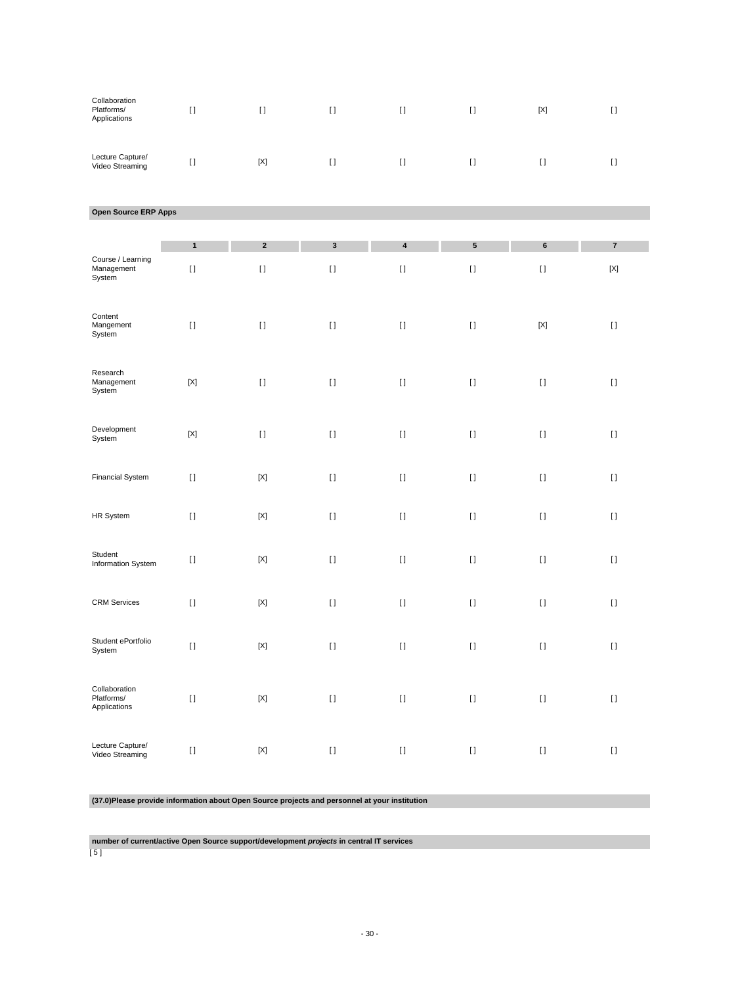| Collaboration<br>Platforms/<br>Applications | $\left[ \, \right]$       | $[ \ ]$                   | $\left[ \ \right]$ | $[ \; ]$           | $[ \ ]$                                | $\left[ \text{X} \right]$                                                                                                                                                                             | $[ \ ]$                                                                                                                                                                                               |
|---------------------------------------------|---------------------------|---------------------------|--------------------|--------------------|----------------------------------------|-------------------------------------------------------------------------------------------------------------------------------------------------------------------------------------------------------|-------------------------------------------------------------------------------------------------------------------------------------------------------------------------------------------------------|
| Lecture Capture/<br>Video Streaming         | $\left[ \ \right]$        | $\left[ \text{X} \right]$ | $\left[ \ \right]$ | $[ \; ]$           | $\rm \scriptstyle II$                  | $\rm I$ l                                                                                                                                                                                             | $\left[ \ \right]$                                                                                                                                                                                    |
| Open Source ERP Apps                        |                           |                           |                    |                    |                                        |                                                                                                                                                                                                       |                                                                                                                                                                                                       |
|                                             |                           |                           |                    |                    |                                        |                                                                                                                                                                                                       |                                                                                                                                                                                                       |
| Course / Learning                           | $\mathbf{1}$              | $\boldsymbol{2}$          | $\mathbf 3$        | 4                  | ${\bf 5}$                              | $\bf 6$                                                                                                                                                                                               | $\pmb{7}$                                                                                                                                                                                             |
| Management<br>System                        | $[ \ ]$                   | $[ \ ]$                   | $[ \ ]$            | $\left[ \ \right]$ | $\rm \scriptstyle II$                  | $[ \, ]$                                                                                                                                                                                              | $[{\sf X}]$                                                                                                                                                                                           |
| Content<br>Mangement<br>System              | $[ \ ]$                   | $[ \; ]$                  | $[ \; ]$           | $\left[ \ \right]$ | $\rm \scriptstyle II$                  | $\left[ \text{X} \right]$                                                                                                                                                                             | $\left[ \ \right]$                                                                                                                                                                                    |
| Research<br>Management<br>System            | $\left[ \text{X} \right]$ | $[ \ ]$                   | $\left[ \ \right]$ | $\left[ \ \right]$ | $\rm \scriptstyle II$                  | $[ \; ]$                                                                                                                                                                                              | $\left[ \ \right]$                                                                                                                                                                                    |
| Development<br>System                       | $\left[ \text{X} \right]$ | $[ \ ]$                   | $\left[ \ \right]$ | $\left[ \ \right]$ | $[ \ ]$                                | $[ \; ]$                                                                                                                                                                                              | $\left[ \ \right]$                                                                                                                                                                                    |
| <b>Financial System</b>                     | $[ \; ]$                  | $[{\sf X}]$               | $[ \; ]$           | $[ \ ]$            | $[ \ ]$                                | $[ \; ]$                                                                                                                                                                                              | $[ \ ]$                                                                                                                                                                                               |
| HR System                                   | $[ \; ]$                  | $[{\sf X}]$               | $\left[ \ \right]$ | $\left[ \ \right]$ | $\rm \scriptstyle II$                  | $[ \; ]$                                                                                                                                                                                              | $\left[ \ \right]$                                                                                                                                                                                    |
| Student<br>Information System               | $[ \; ]$                  | $[{\sf X}]$               | $[ \; ]$           | $[ \ ]$            | $[ \ ]$                                | $[ \; ]$                                                                                                                                                                                              | $[ \ ]$                                                                                                                                                                                               |
| <b>CRM Services</b>                         | $[ \ ]$                   | $\left[ \text{X} \right]$ | $[ \; ]$           | $[ \ ]$            | $[ \ ]$                                | $[ \; ]$                                                                                                                                                                                              | $[ \; ]$                                                                                                                                                                                              |
| Student ePortfolio<br>System                | $[ \ ]$                   | $\left[ \text{X} \right]$ | $[ \: ]$           | $[ \ ]$            | $\begin{array}{c} \square \end{array}$ | $[ \, ]$                                                                                                                                                                                              | $\begin{array}{c} \square \end{array}$                                                                                                                                                                |
| Collaboration<br>Platforms/<br>Applications | $[ \ ]$                   | $[{\sf X}]$               | $[ \ ]$            | $[ \ ]$            |                                        | $[] \centering \includegraphics[width=0.47\textwidth]{images/TrDiS-Architecture.png} \caption{The 3D (top) and 4D (bottom) are used for the 3D (bottom) and 3D (bottom).} \label{TrDiS-Architecture}$ | $[] \centering \includegraphics[width=0.47\textwidth]{images/TrDiS-Architecture.png} \caption{The 3D (top) and 4D (bottom) are used for the 3D (bottom) and 3D (bottom).} \label{TrDiS-Architecture}$ |
| Lecture Capture/<br>Video Streaming         | $[ \ ]$                   | $[{\sf X}]$               | $[ \ ]$            | $[ \ ]$            |                                        | $[] \centering \includegraphics[width=0.47\textwidth]{images/TrDiS-Architecture.png} \caption{The 3D (top) and 4D (bottom) are used for the 3D (bottom) and 3D (bottom).} \label{TrDiS-Architecture}$ | $[ \: ]$                                                                                                                                                                                              |

# **(37.0)Please provide information about Open Source projects and personnel at your institution**

**number of current/active Open Source support/development projects in central IT services**

[ 5 ]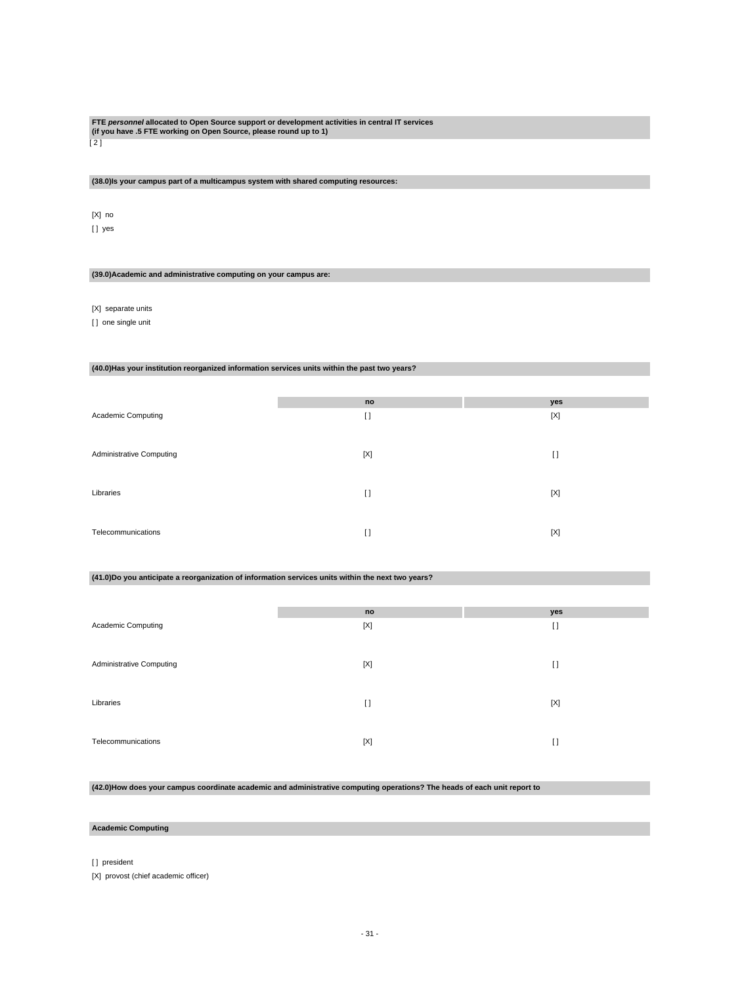# **FTE personnel allocated to Open Source support or development activities in central IT services (if you have .5 FTE working on Open Source, please round up to 1)**

 $\overline{[2]}$ 

#### **(38.0)Is your campus part of a multicampus system with shared computing resources:**

[X] no [ ] yes

#### **(39.0)Academic and administrative computing on your campus are:**

[X] separate units

[ ] one single unit

#### **(40.0)Has your institution reorganized information services units within the past two years?**

|                                 | no       | yes         |
|---------------------------------|----------|-------------|
| Academic Computing              | $\lceil$ | [X]         |
|                                 |          |             |
| <b>Administrative Computing</b> | [X]      | $[ \ ]$     |
|                                 |          |             |
| Libraries                       | $\lceil$ | [X]         |
|                                 |          |             |
| Telecommunications              | $\Box$   | $[{\sf X}]$ |
|                                 |          |             |

#### **(41.0)Do you anticipate a reorganization of information services units within the next two years?**

|                                 | no       | yes     |
|---------------------------------|----------|---------|
| Academic Computing              | [X]      | $[ \ ]$ |
| <b>Administrative Computing</b> | [X]      | $[ \ ]$ |
| Libraries                       | $\lceil$ | [X]     |
| Telecommunications              | [X]      | $[ \ ]$ |

#### **(42.0)How does your campus coordinate academic and administrative computing operations? The heads of each unit report to**

# **Academic Computing**

[] president

[X] provost (chief academic officer)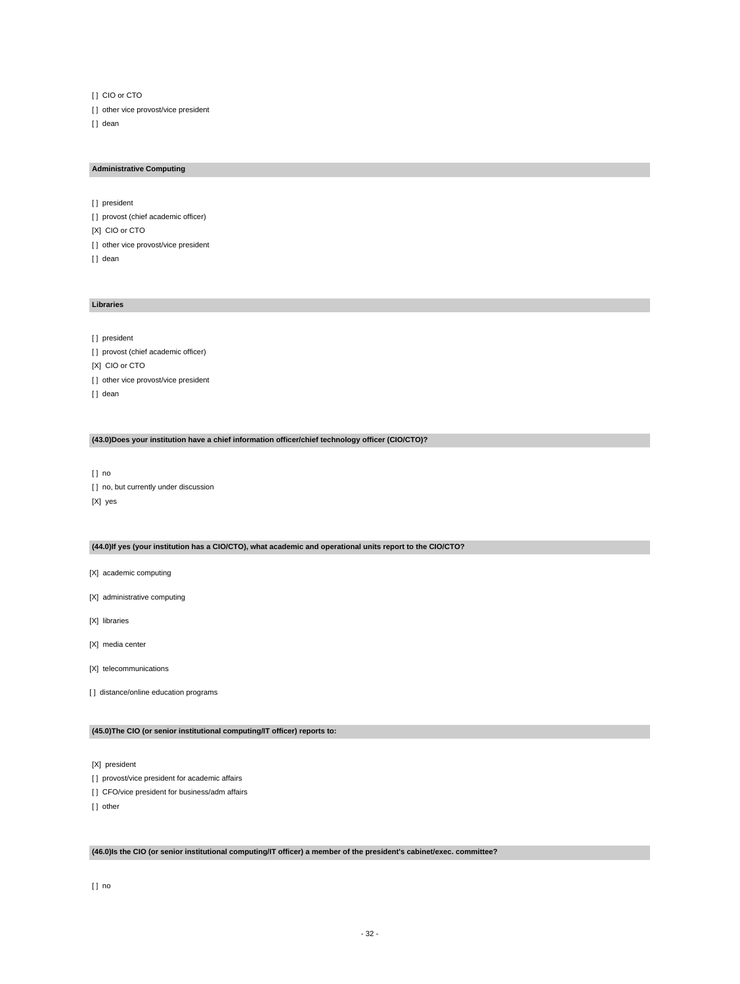[ ] CIO or CTO [] other vice provost/vice president [] dean

#### **Administrative Computing**

[] president [] provost (chief academic officer) [X] CIO or CTO [ ] other vice provost/vice president [] dean

#### **Libraries**

[] president [ ] provost (chief academic officer) [X] CIO or CTO [ ] other vice provost/vice president [] dean

#### **(43.0)Does your institution have a chief information officer/chief technology officer (CIO/CTO)?**

[ ] no [ ] no, but currently under discussion [X] yes

#### **(44.0)If yes (your institution has a CIO/CTO), what academic and operational units report to the CIO/CTO?**

[X] academic computing

[X] administrative computing

[X] libraries

[X] media center

[X] telecommunications

[] distance/online education programs

#### **(45.0)The CIO (or senior institutional computing/IT officer) reports to:**

[X] president

[] provost/vice president for academic affairs

[] CFO/vice president for business/adm affairs

[] other

#### **(46.0)Is the CIO (or senior institutional computing/IT officer) a member of the president's cabinet/exec. committee?**

[ ] no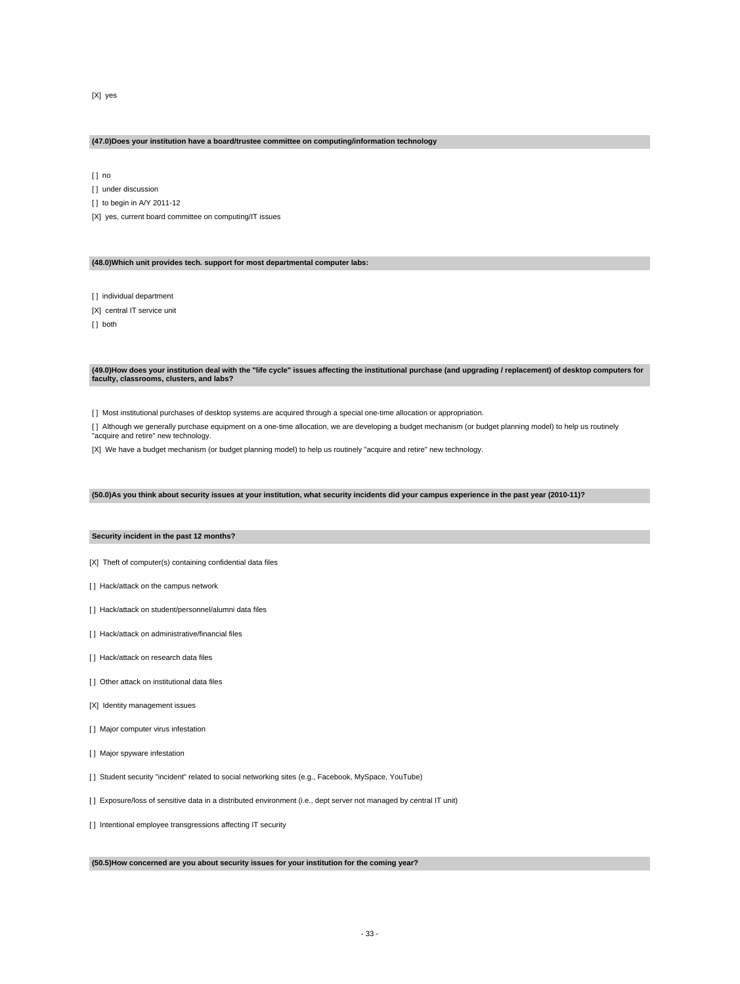[X] yes

#### **(47.0)Does your institution have a board/trustee committee on computing/information technology**

[ ] no

[ ] under discussion

[ ] to begin in A/Y 2011-12

[X] yes, current board committee on computing/IT issues

**(48.0)Which unit provides tech. support for most departmental computer labs:**

[ ] individual department

[X] central IT service unit

[] both

**(49.0)How does your institution deal with the "life cycle" issues affecting the institutional purchase (and upgrading / replacement) of desktop computers for faculty, classrooms, clusters, and labs?**

[ ] Most institutional purchases of desktop systems are acquired through a special one-time allocation or appropriation.

[ ] Although we generally purchase equipment on a one-time allocation, we are developing a budget mechanism (or budget planning model) to help us routinely "acquire and retire" new technology.

[X] We have a budget mechanism (or budget planning model) to help us routinely "acquire and retire" new technology.

**(50.0)As you think about security issues at your institution, what security incidents did your campus experience in the past year (2010-11)?**

#### **Security incident in the past 12 months?**

[X] Theft of computer(s) containing confidential data files

- [ ] Hack/attack on the campus network
- [] Hack/attack on student/personnel/alumni data files
- [] Hack/attack on administrative/financial files
- [ ] Hack/attack on research data files
- [ ] Other attack on institutional data files
- [X] Identity management issues
- [ ] Major computer virus infestation
- [ ] Major spyware infestation
- [ ] Student security "incident" related to social networking sites (e.g., Facebook, MySpace, YouTube)
- [ ] Exposure/loss of sensitive data in a distributed environment (i.e., dept server not managed by central IT unit)
- [ ] Intentional employee transgressions affecting IT security

**(50.5)How concerned are you about security issues for your institution for the coming year?**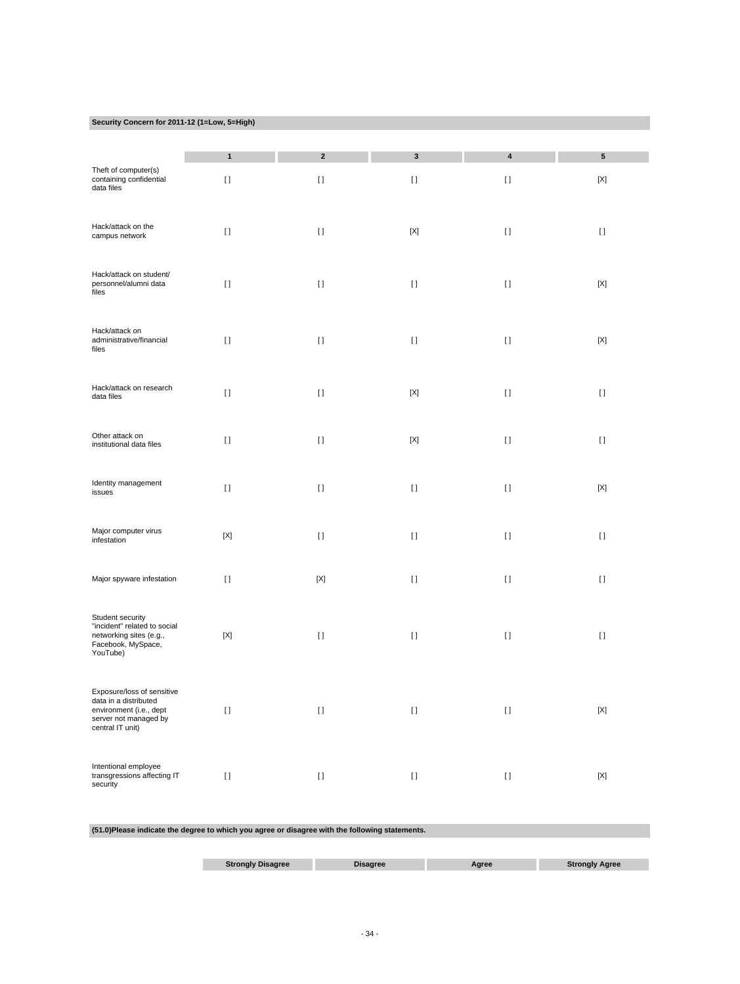#### **Security Concern for 2011-12 (1=Low, 5=High)**

|                                                                                                                             | $\mathbf{1}$ | $\boldsymbol{2}$ | $\mathbf 3$ | $\overline{\mathbf{4}}$                | ${\bf 5}$                 |
|-----------------------------------------------------------------------------------------------------------------------------|--------------|------------------|-------------|----------------------------------------|---------------------------|
| Theft of computer(s)<br>containing confidential<br>data files                                                               | $[ \ ]$      | $[ \ ]$          | $[ \ ]$     | $[ \ ]$                                | $\left[ \times \right]$   |
| Hack/attack on the<br>campus network                                                                                        | $[ \; ]$     | $[ \ ]$          | [X]         | $[ \ ]$                                | $[ \; ]$                  |
| Hack/attack on student/<br>personnel/alumni data<br>files                                                                   | $[ \; ]$     | $[ \ ]$          | $[ \; ]$    | $[ \; ]$                               | $[{\sf X}]$               |
| Hack/attack on<br>administrative/financial<br>files                                                                         | $[ \; ]$     | $[ \ ]$          | $[ \ ]$     | $[ \ ]$                                | $[{\sf X}]$               |
| Hack/attack on research<br>data files                                                                                       | $[ \ ]$      | $[ \ ]$          | $[{\sf X}]$ | $[ \ ]$                                | $[ \ ]$                   |
| Other attack on<br>institutional data files                                                                                 | $[ \; ]$     | $[ \ ]$          | $[{\sf X}]$ | $[ \ ]$                                | $[ \; ]$                  |
| Identity management<br>issues                                                                                               | $[ \; ]$     | $[ \; ]$         | $[ \; ]$    | $[ \ ]$                                | $[{\sf X}]$               |
| Major computer virus<br>infestation                                                                                         | $[{\sf X}]$  | $[ \ ]$          | $[ \ ]$     | $[ \ ]$                                | $[ \ ]$                   |
| Major spyware infestation                                                                                                   | $[ \ ]$      | $[{\sf X}]$      | $[ \ ]$     | $[ \; ]$                               | $[ \ ]$                   |
| Student security<br>"incident" related to social<br>networking sites (e.g.,<br>Facebook, MySpace,<br>YouTube)               | $[{\sf X}]$  | $[ \ ]$          | $[ \ ]$     | $[ \ ]$                                | $[ \ ]$                   |
| Exposure/loss of sensitive<br>data in a distributed<br>environment (i.e., dept<br>server not managed by<br>central IT unit) | $[ \; ]$     | $[ \: ]$         | $[ \: ]$    | $[ \, ]$                               | $[{\sf X}]$               |
| Intentional employee<br>transgressions affecting IT<br>security                                                             | $[ \, ]$     | $[ \ ]$          | $[ \ ]$     | $\begin{array}{c} \square \end{array}$ | $\left[ \text{X} \right]$ |

#### **(51.0)Please indicate the degree to which you agree or disagree with the following statements.**

| Strongly<br><b>Sagree</b> | misagree | Agree |
|---------------------------|----------|-------|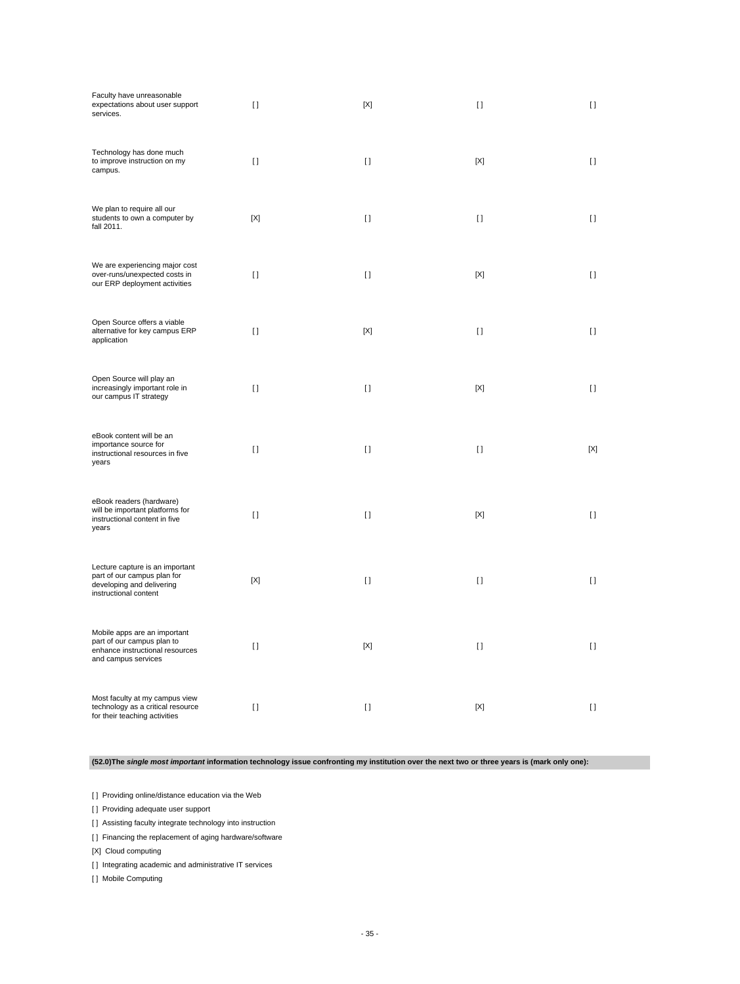| Faculty have unreasonable<br>expectations about user support<br>services.                                            | $\mathbf{I}$ | [X]     | $\mathbf{I}$ | $\mathbf{I}$ |
|----------------------------------------------------------------------------------------------------------------------|--------------|---------|--------------|--------------|
| Technology has done much<br>to improve instruction on my<br>campus.                                                  | $\mathbf{I}$ | $[ \ ]$ | [X]          | $[ \ ]$      |
| We plan to require all our<br>students to own a computer by<br>fall 2011.                                            | [X]          | $\Box$  | $\Box$       | $[ \ ]$      |
| We are experiencing major cost<br>over-runs/unexpected costs in<br>our ERP deployment activities                     | $\mathbf{I}$ | $[ \ ]$ | [X]          | $[ \ ]$      |
| Open Source offers a viable<br>alternative for key campus ERP<br>application                                         | $\mathbf{I}$ | [X]     | $\mathbf{I}$ | $[ \ ]$      |
| Open Source will play an<br>increasingly important role in<br>our campus IT strategy                                 | $\Box$       | $[ \ ]$ | [X]          | $[ \ ]$      |
| eBook content will be an<br>importance source for<br>instructional resources in five<br>years                        | $\mathbf{I}$ | $[ \ ]$ | $\mathbf{I}$ | [X]          |
| eBook readers (hardware)<br>will be important platforms for<br>instructional content in five<br>years                | $\mathbf{I}$ | $[ \ ]$ | [X]          | $\mathbf{I}$ |
| Lecture capture is an important<br>part of our campus plan for<br>developing and delivering<br>instructional content | [X]          | $[ \ ]$ | $\mathbf{I}$ | $[ \ ]$      |
| Mobile apps are an important<br>part of our campus plan to<br>enhance instructional resources<br>and campus services | $\mathbf{I}$ | [X]     | $\mathbf{I}$ | $[ \ ]$      |
| Most faculty at my campus view<br>technology as a critical resource<br>for their teaching activities                 | $\mathbf{I}$ | $[ \ ]$ | [X]          | $[ \ ]$      |

**(52.0)The single most important information technology issue confronting my institution over the next two or three years is (mark only one):**

[] Providing online/distance education via the Web

[] Providing adequate user support

[] Assisting faculty integrate technology into instruction

[] Financing the replacement of aging hardware/software

[X] Cloud computing

[] Integrating academic and administrative IT services

[ ] Mobile Computing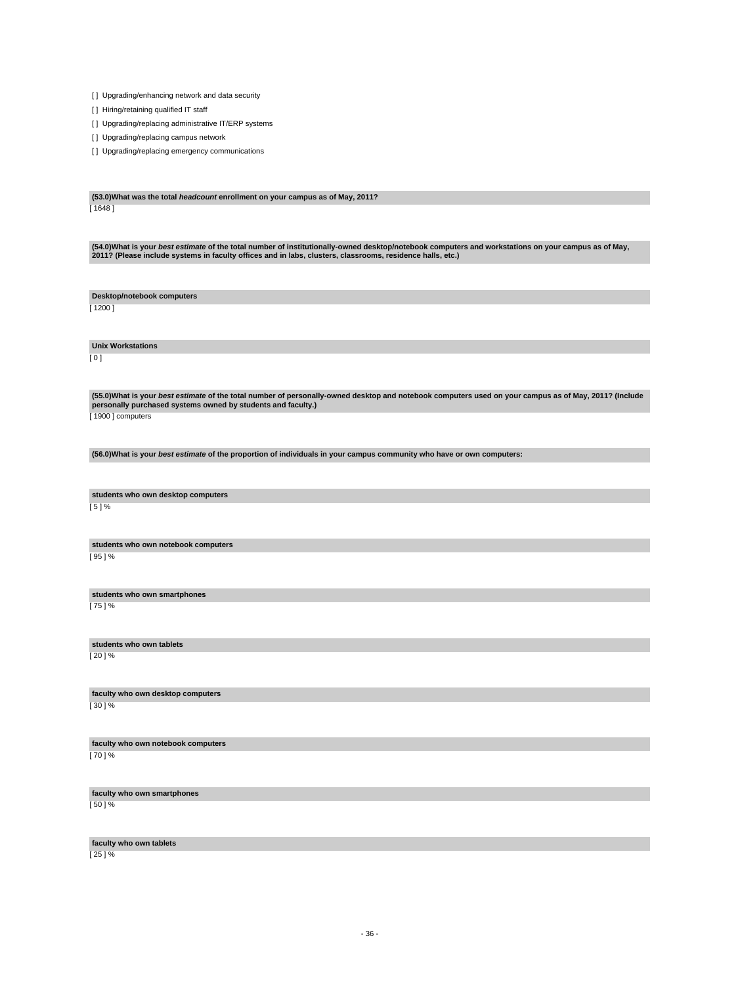- 36 -

**faculty who own tablets** [ 25 ] %

[ 50 ] %

**faculty who own notebook computers** [ 70 ] %

**faculty who own smartphones**

**faculty who own desktop computers** [ 30 ] %

[ 20 ] %

**students who own tablets**

**students who own smartphones** [ 75 ] %

[ 95 ] %

**Unix Workstations**

[ 0 ]

**students who own notebook computers**

[ 5 ] %

**students who own desktop computers**

(55.0)What is your *best estimate* of the total number of personally-owned desktop and notebook computers used on your campus as of May, 2011? (Include<br>personally purchased systems owned by students and faculty.) [1900] computers

**(56.0)What is your best estimate of the proportion of individuals in your campus community who have or own computers:**

**Desktop/notebook computers** [ 1200 ]

(54.0)What is your *best estimate* of the total number of institutionally-owned desktop/notebook computers and workstations on your campus as of May,<br>2011? (Please include systems in faculty offices and in labs, clusters,

[ 1648 ]

**(53.0)What was the total headcount enrollment on your campus as of May, 2011?**

[] Upgrading/replacing emergency communications

[ ] Upgrading/replacing campus network

[] Upgrading/replacing administrative IT/ERP systems

[ ] Hiring/retaining qualified IT staff

[ ] Upgrading/enhancing network and data security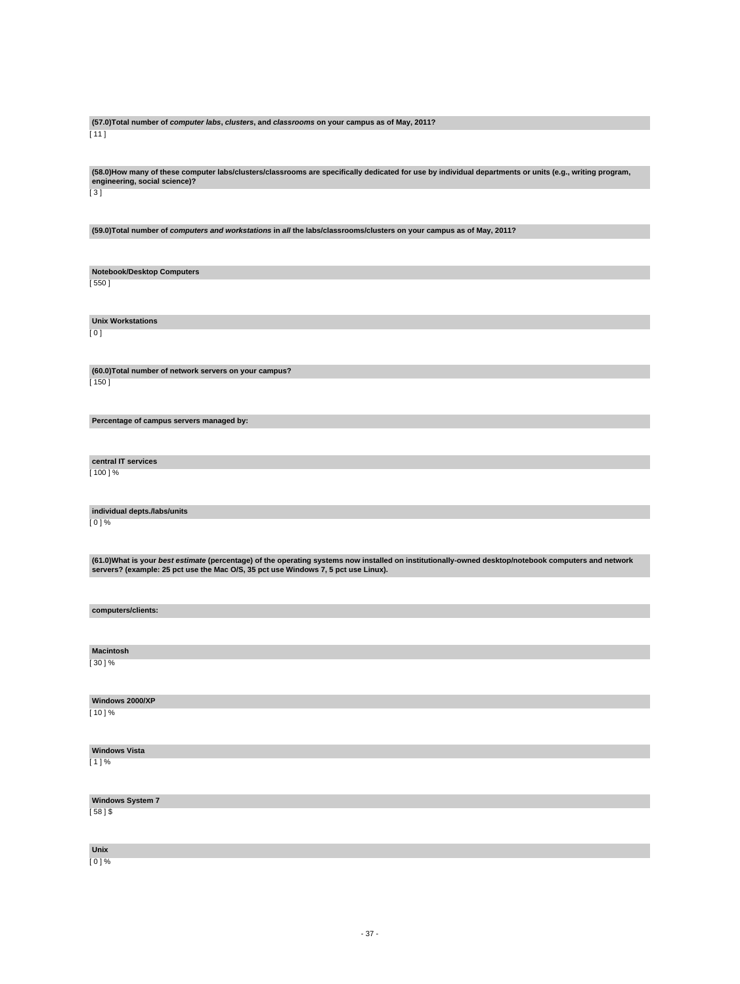#### **(57.0)Total number of computer labs, clusters, and classrooms on your campus as of May, 2011?** [ 11 ]

**(58.0)How many of these computer labs/clusters/classrooms are specifically dedicated for use by individual departments or units (e.g., writing program, engineering, social science)?**

[ 3 ]

**(59.0)Total number of computers and workstations in all the labs/classrooms/clusters on your campus as of May, 2011?**

**Notebook/Desktop Computers**

[ 550 ]

**Unix Workstations**

[ 0 ]

**(60.0)Total number of network servers on your campus?** [ 150 ]

**Percentage of campus servers managed by:**

**central IT services** [ 100 ] %

**individual depts./labs/units**

[ 0 ] %

(61.0)What is your *best estimate* (percentage) of the operating systems now installed on institutionally-owned desktop/notebook computers and network<br>servers? (example: 25 pct use the Mac O/S, 35 pct use Windows 7, 5 pct

**computers/clients:**

**Macintosh**

[ 30 ] %

**Windows 2000/XP**

 $[10] \%$ 

**Windows Vista** [ 1 ] %

**Windows System 7**  $[58]$ \$

**Unix**

 $[0] %$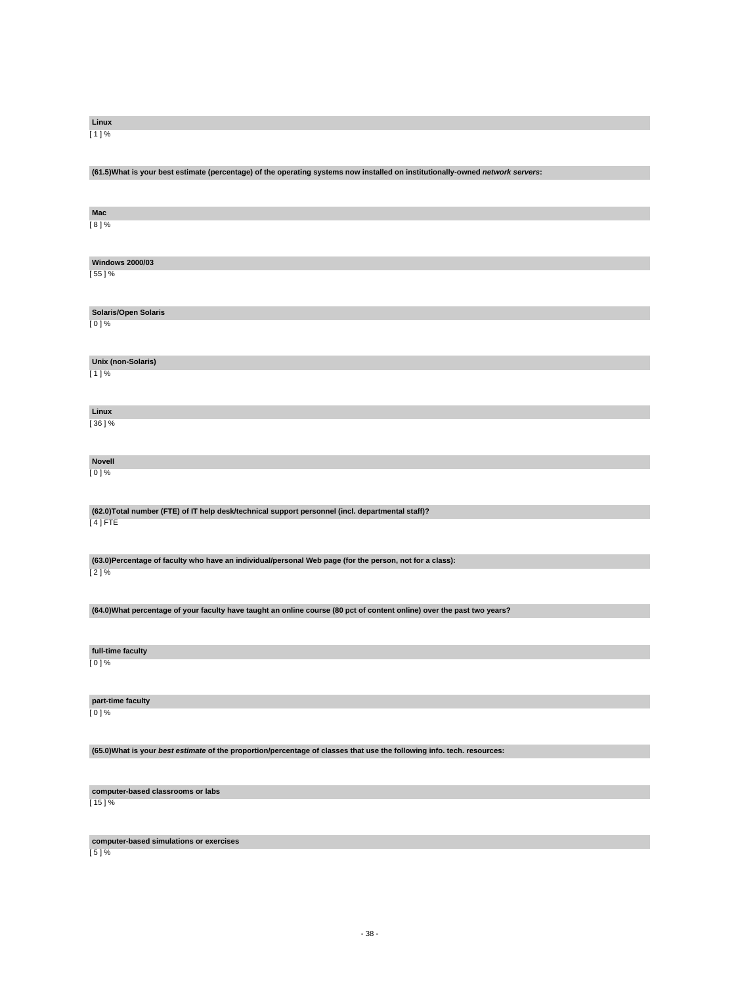[ 5 ] %

**computer-based classrooms or labs**

 $[15]$  %

**computer-based simulations or exercises**

**(65.0)What is your best estimate of the proportion/percentage of classes that use the following info. tech. resources:**

**part-time faculty**  $[0]$  %

[ 0 ] %

**full-time faculty**

**(64.0)What percentage of your faculty have taught an online course (80 pct of content online) over the past two years?**

[ 2 ] %

**(63.0)Percentage of faculty who have an individual/personal Web page (for the person, not for a class):**

**(62.0)Total number (FTE) of IT help desk/technical support personnel (incl. departmental staff)?** [ 4 ] FTE

**Novell** [ 0 ] %

**Unix (non-Solaris)** [ 1 ] %

**Linux** [ 36 ] %

[ 0 ] %

**Solaris/Open Solaris**

[ 55 ] %

**Mac**

[ 8 ] %

**Windows 2000/03**

**(61.5)What is your best estimate (percentage) of the operating systems now installed on institutionally-owned network servers:**

**Linux** [ 1 ] %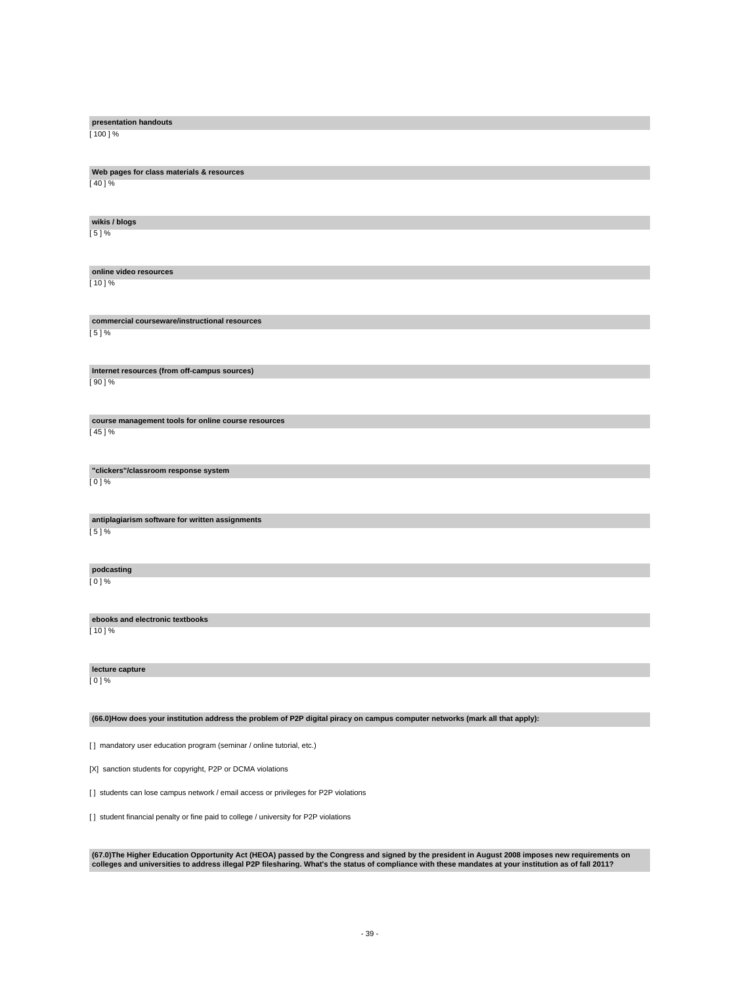| presentation handouts                                                                                                         |
|-------------------------------------------------------------------------------------------------------------------------------|
| $[100]$ %                                                                                                                     |
|                                                                                                                               |
| Web pages for class materials & resources                                                                                     |
| [ 40 ] %                                                                                                                      |
|                                                                                                                               |
| wikis / blogs<br>$[5]$ %                                                                                                      |
|                                                                                                                               |
|                                                                                                                               |
| online video resources<br>$[10]$ %                                                                                            |
|                                                                                                                               |
| commercial courseware/instructional resources                                                                                 |
| [5]%                                                                                                                          |
|                                                                                                                               |
| Internet resources (from off-campus sources)                                                                                  |
| $[90]$ %                                                                                                                      |
|                                                                                                                               |
| course management tools for online course resources                                                                           |
| [45]%                                                                                                                         |
|                                                                                                                               |
| "clickers"/classroom response system<br>$[0]$ %                                                                               |
|                                                                                                                               |
|                                                                                                                               |
| antiplagiarism software for written assignments<br>$[5]$ %                                                                    |
|                                                                                                                               |
| podcasting                                                                                                                    |
| $[0]$ %                                                                                                                       |
|                                                                                                                               |
| ebooks and electronic textbooks                                                                                               |
| [ 10 ] %                                                                                                                      |
|                                                                                                                               |
| lecture capture                                                                                                               |
| $[0]$ %                                                                                                                       |
|                                                                                                                               |
| (66.0) How does your institution address the problem of P2P digital piracy on campus computer networks (mark all that apply): |
| [] mandatory user education program (seminar / online tutorial, etc.)                                                         |
|                                                                                                                               |
| [X] sanction students for copyright, P2P or DCMA violations                                                                   |

[] students can lose campus network / email access or privileges for P2P violations

[] student financial penalty or fine paid to college / university for P2P violations

(67.0)The Higher Education Opportunity Act (HEOA) passed by the Congress and signed by the president in August 2008 imposes new requirements on<br>colleges and universities to address illegal P2P filesharing. What's the statu